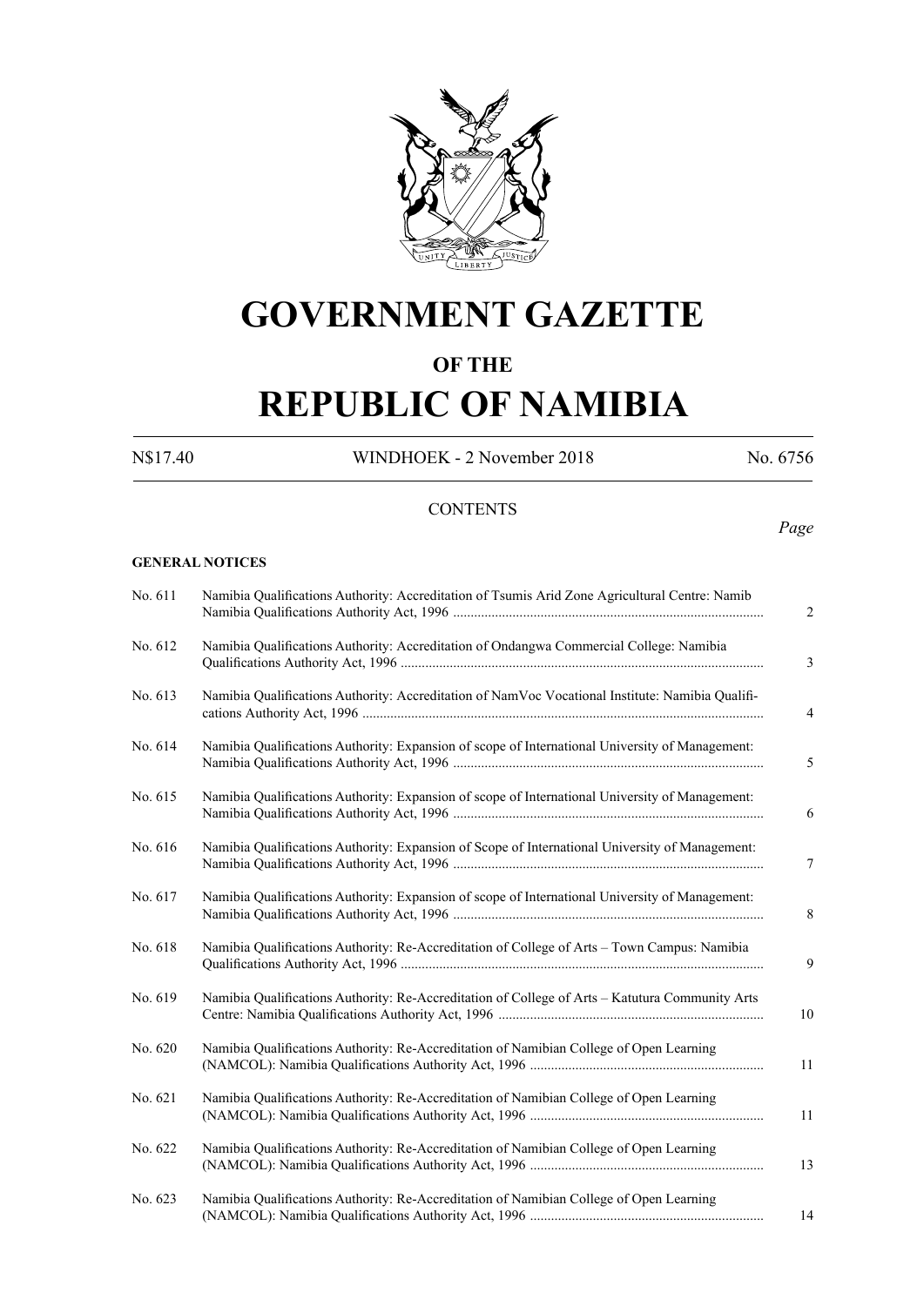

## **GOVERNMENT GAZETTE**

## **OF THE**

# **REPUBLIC OF NAMIBIA**

N\$17.40 WINDHOEK - 2 November 2018 No. 6756

*Page*

## **CONTENTS**

#### **GENERAL NOTICES**

| No. 611 | Namibia Qualifications Authority: Accreditation of Tsumis Arid Zone Agricultural Centre: Namib   |
|---------|--------------------------------------------------------------------------------------------------|
| No. 612 | Namibia Qualifications Authority: Accreditation of Ondangwa Commercial College: Namibia          |
| No. 613 | Namibia Qualifications Authority: Accreditation of NamVoc Vocational Institute: Namibia Qualifi- |
| No. 614 | Namibia Qualifications Authority: Expansion of scope of International University of Management:  |
| No. 615 | Namibia Qualifications Authority: Expansion of scope of International University of Management:  |
| No. 616 | Namibia Qualifications Authority: Expansion of Scope of International University of Management:  |
| No. 617 | Namibia Qualifications Authority: Expansion of scope of International University of Management:  |
| No. 618 | Namibia Qualifications Authority: Re-Accreditation of College of Arts - Town Campus: Namibia     |
| No. 619 | Namibia Qualifications Authority: Re-Accreditation of College of Arts - Katutura Community Arts  |
| No. 620 | Namibia Qualifications Authority: Re-Accreditation of Namibian College of Open Learning          |
| No. 621 | Namibia Qualifications Authority: Re-Accreditation of Namibian College of Open Learning          |
| No. 622 | Namibia Qualifications Authority: Re-Accreditation of Namibian College of Open Learning          |
| No. 623 | Namibia Qualifications Authority: Re-Accreditation of Namibian College of Open Learning          |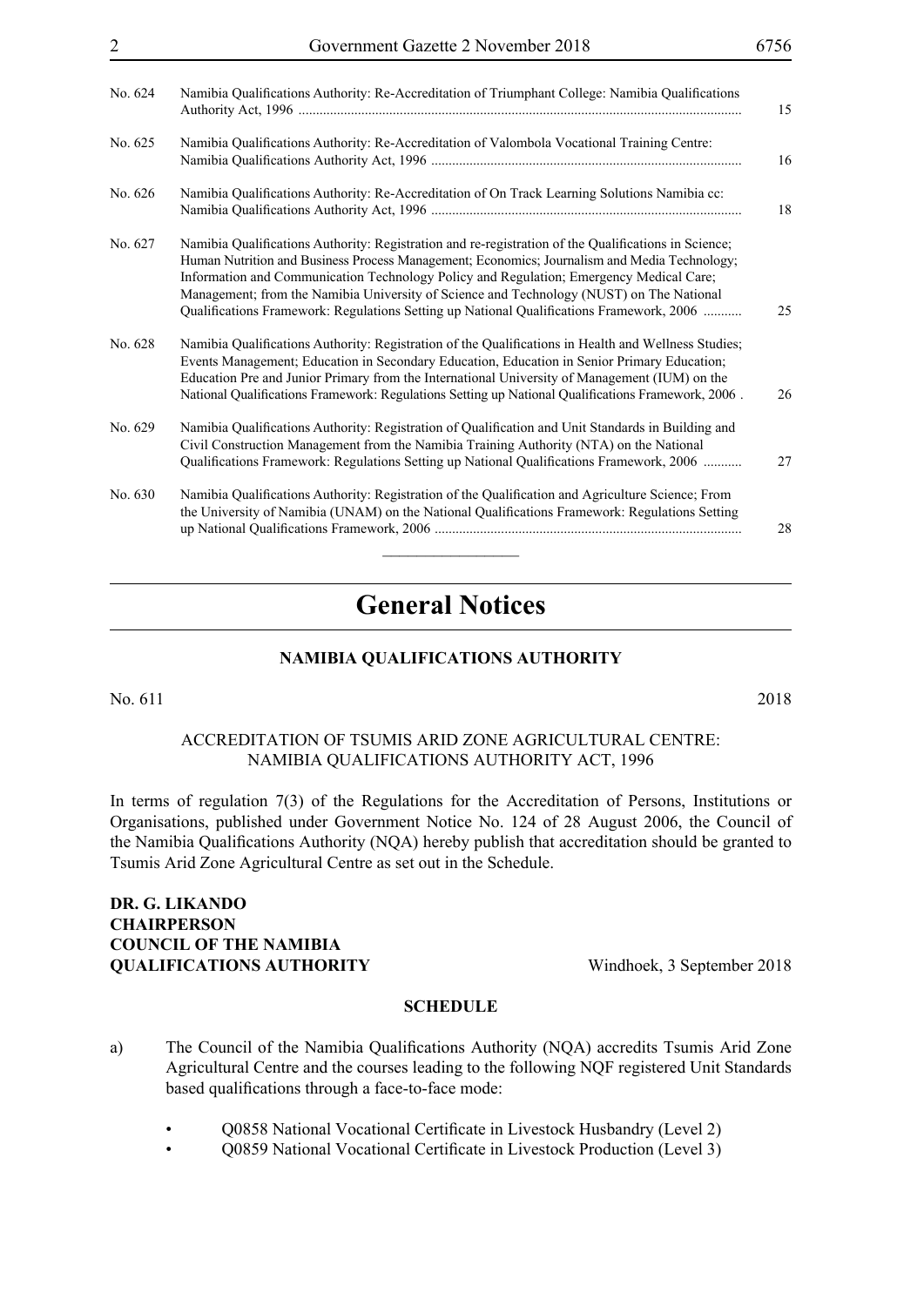| No. 624 | Namibia Qualifications Authority: Re-Accreditation of Triumphant College: Namibia Qualifications                                                                                                                                                                                                                                                                                                                                                                                        |
|---------|-----------------------------------------------------------------------------------------------------------------------------------------------------------------------------------------------------------------------------------------------------------------------------------------------------------------------------------------------------------------------------------------------------------------------------------------------------------------------------------------|
| No. 625 | Namibia Qualifications Authority: Re-Accreditation of Valombola Vocational Training Centre:                                                                                                                                                                                                                                                                                                                                                                                             |
| No. 626 | Namibia Qualifications Authority: Re-Accreditation of On Track Learning Solutions Namibia cc:                                                                                                                                                                                                                                                                                                                                                                                           |
| No. 627 | Namibia Qualifications Authority: Registration and re-registration of the Qualifications in Science;<br>Human Nutrition and Business Process Management; Economics; Journalism and Media Technology;<br>Information and Communication Technology Policy and Regulation; Emergency Medical Care;<br>Management; from the Namibia University of Science and Technology (NUST) on The National<br>Qualifications Framework: Regulations Setting up National Qualifications Framework, 2006 |
| No. 628 | Namibia Qualifications Authority: Registration of the Qualifications in Health and Wellness Studies;<br>Events Management; Education in Secondary Education, Education in Senior Primary Education;<br>Education Pre and Junior Primary from the International University of Management (IUM) on the<br>National Qualifications Framework: Regulations Setting up National Qualifications Framework, 2006.                                                                              |
| No. 629 | Namibia Qualifications Authority: Registration of Qualification and Unit Standards in Building and<br>Civil Construction Management from the Namibia Training Authority (NTA) on the National<br>Qualifications Framework: Regulations Setting up National Qualifications Framework, 2006                                                                                                                                                                                               |
| No. 630 | Namibia Qualifications Authority: Registration of the Qualification and Agriculture Science; From<br>the University of Namibia (UNAM) on the National Qualifications Framework: Regulations Setting                                                                                                                                                                                                                                                                                     |

2 Government Gazette 2 November 2018 6756

## **General Notices**

## **NAMIBIA QUALIFICATIONS AUTHORITY**

No. 611 2018

## Accreditation of Tsumis Arid Zone Agricultural Centre: Namibia Qualifications Authority Act, 1996

In terms of regulation 7(3) of the Regulations for the Accreditation of Persons, Institutions or Organisations, published under Government Notice No. 124 of 28 August 2006, the Council of the Namibia Qualifications Authority (NQA) hereby publish that accreditation should be granted to Tsumis Arid Zone Agricultural Centre as set out in the Schedule.

## **Dr. G. Likando Chairperson COUNCIL OF THE NAMIBIA QUALIFICATIONS AUTHORITY** Windhoek, 3 September 2018

- a) The Council of the Namibia Qualifications Authority (NQA) accredits Tsumis Arid Zone Agricultural Centre and the courses leading to the following NQF registered Unit Standards based qualifications through a face-to-face mode:
	- Q0858 National Vocational Certificate in Livestock Husbandry (Level 2)
	- Q0859 National Vocational Certificate in Livestock Production (Level 3)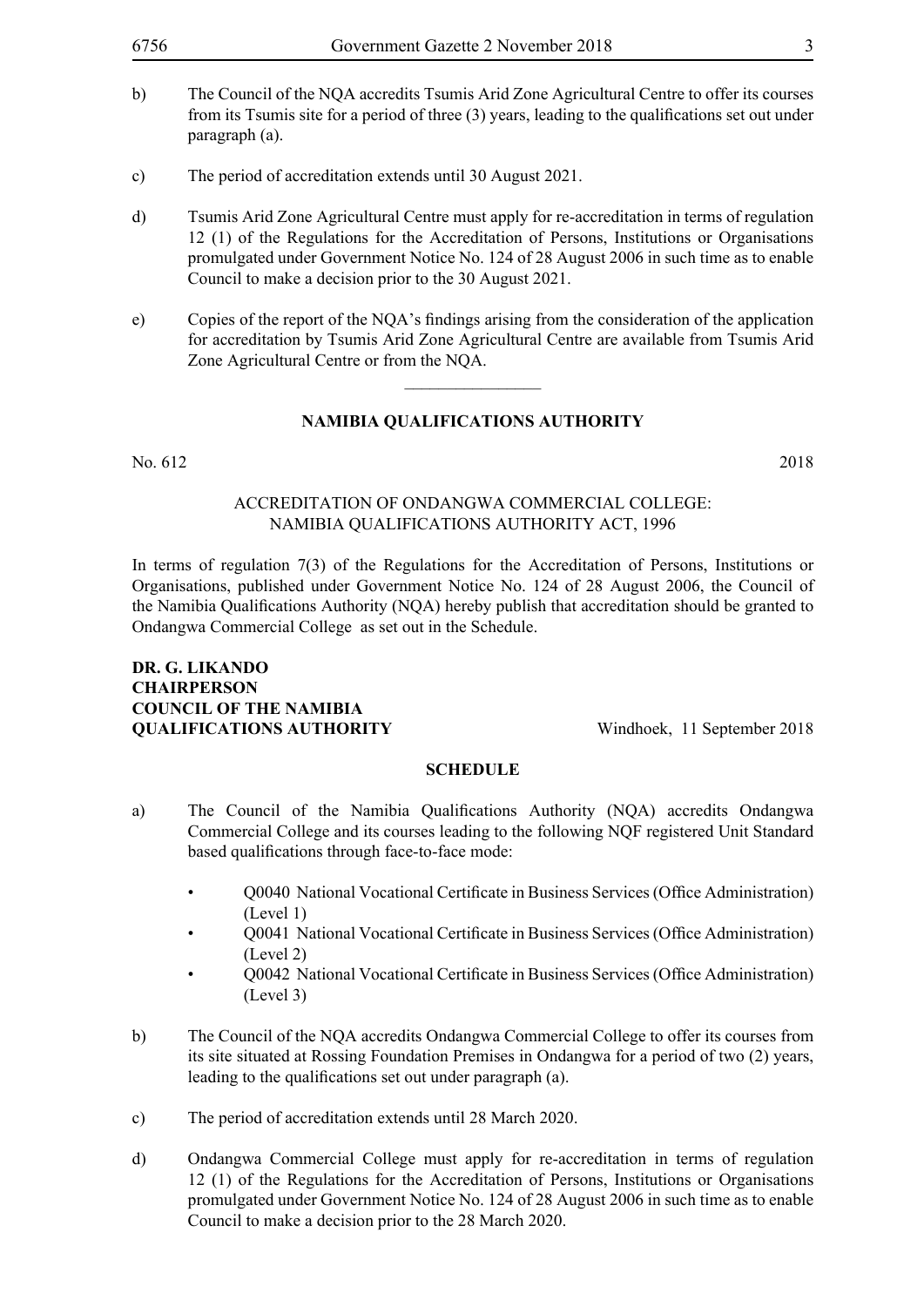- b) The Council of the NQA accredits Tsumis Arid Zone Agricultural Centre to offer its courses from its Tsumis site for a period of three (3) years, leading to the qualifications set out under paragraph (a).
- c) The period of accreditation extends until 30 August 2021.
- d) Tsumis Arid Zone Agricultural Centre must apply for re-accreditation in terms of regulation 12 (1) of the Regulations for the Accreditation of Persons, Institutions or Organisations promulgated under Government Notice No. 124 of 28 August 2006 in such time as to enable Council to make a decision prior to the 30 August 2021.
- e) Copies of the report of the NQA's findings arising from the consideration of the application for accreditation by Tsumis Arid Zone Agricultural Centre are available from Tsumis Arid Zone Agricultural Centre or from the NQA.

 $\frac{1}{2}$ 

#### No. 612 2018

## Accreditation of Ondangwa Commercial College: Namibia Qualifications Authority Act, 1996

In terms of regulation 7(3) of the Regulations for the Accreditation of Persons, Institutions or Organisations, published under Government Notice No. 124 of 28 August 2006, the Council of the Namibia Qualifications Authority (NQA) hereby publish that accreditation should be granted to Ondangwa Commercial College as set out in the Schedule.

## **Dr. G. Likando Chairperson COUNCIL OF THE NAMIBIA QUALIFICATIONS AUTHORITY** Windhoek, 11 September 2018

- a) The Council of the Namibia Qualifications Authority (NQA) accredits Ondangwa Commercial College and its courses leading to the following NQF registered Unit Standard based qualifications through face-to-face mode:
	- $\bullet$  O0040 National Vocational Certificate in Business Services (Office Administration) (Level 1)
	- Q0041 National Vocational Certificate in Business Services (Office Administration) (Level 2)
	- Q0042 National Vocational Certificate in Business Services (Office Administration) (Level 3)
- b) The Council of the NQA accredits Ondangwa Commercial College to offer its courses from its site situated at Rossing Foundation Premises in Ondangwa for a period of two (2) years, leading to the qualifications set out under paragraph (a).
- c) The period of accreditation extends until 28 March 2020.
- d) Ondangwa Commercial College must apply for re-accreditation in terms of regulation 12 (1) of the Regulations for the Accreditation of Persons, Institutions or Organisations promulgated under Government Notice No. 124 of 28 August 2006 in such time as to enable Council to make a decision prior to the 28 March 2020.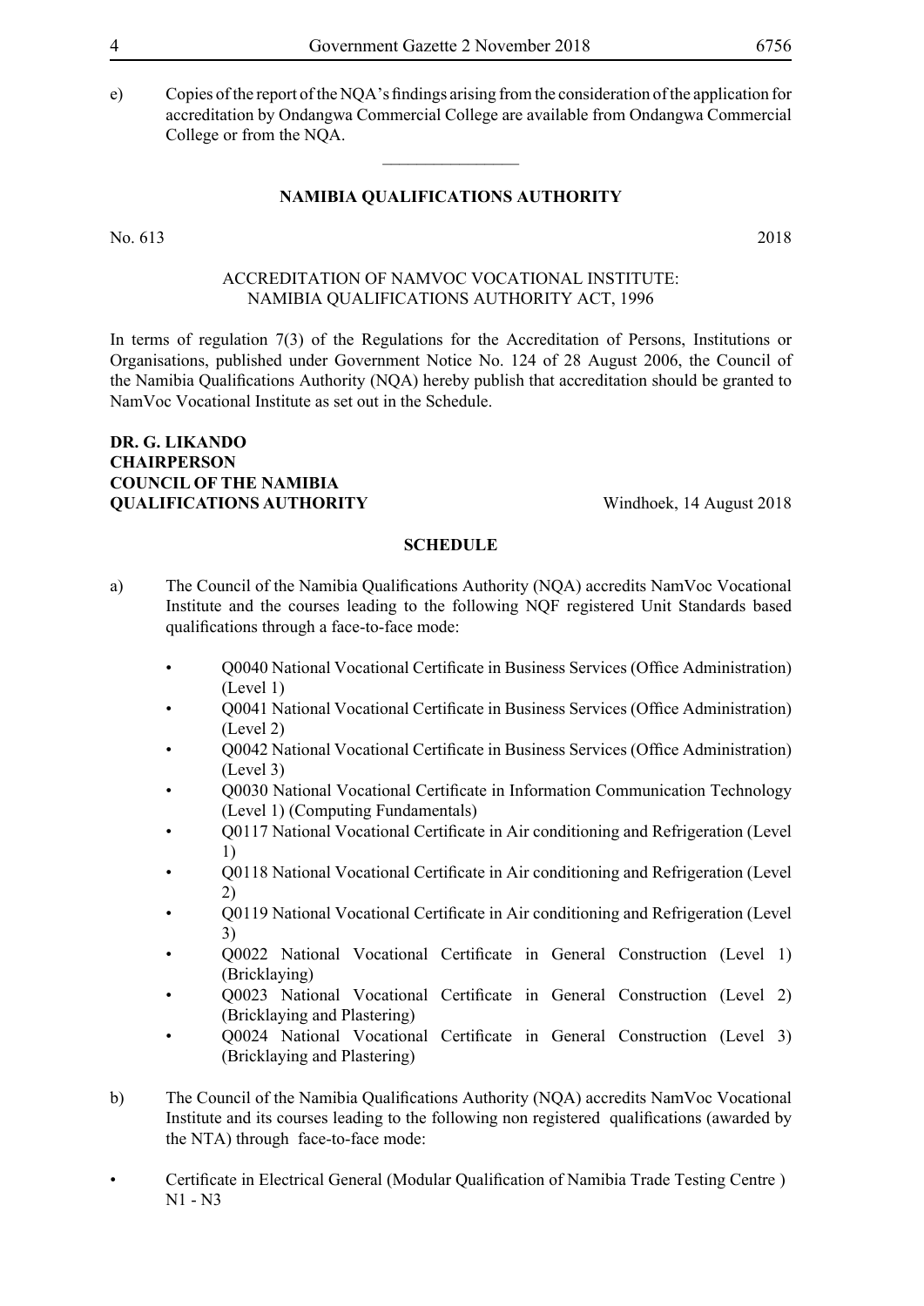e) Copies of the report of the NQA's findings arising from the consideration of the application for accreditation by Ondangwa Commercial College are available from Ondangwa Commercial College or from the NQA.

## **NAMIBIA QUALIFICATIONS AUTHORITY**

 $\overline{\phantom{a}}$  , where  $\overline{\phantom{a}}$ 

No. 613 2018

#### Accreditation of NamVoc Vocational Institute: Namibia Qualifications Authority Act, 1996

In terms of regulation 7(3) of the Regulations for the Accreditation of Persons, Institutions or Organisations, published under Government Notice No. 124 of 28 August 2006, the Council of the Namibia Qualifications Authority (NQA) hereby publish that accreditation should be granted to NamVoc Vocational Institute as set out in the Schedule.

## **Dr. G. Likando Chairperson COUNCIL OF THE NAMIBIA OUALIFICATIONS AUTHORITY** Windhoek, 14 August 2018

- a) The Council of the Namibia Qualifications Authority (NQA) accredits NamVoc Vocational Institute and the courses leading to the following NQF registered Unit Standards based qualifications through a face-to-face mode:
	- Q0040 National Vocational Certificate in Business Services (Office Administration) (Level 1)
	- Q0041 National Vocational Certificate in Business Services (Office Administration) (Level 2)
	- Q0042 National Vocational Certificate in Business Services (Office Administration) (Level 3)
	- Q0030 National Vocational Certificate in Information Communication Technology (Level 1) (Computing Fundamentals)
	- Q0117 National Vocational Certificate in Air conditioning and Refrigeration (Level 1)
	- Q0118 National Vocational Certificate in Air conditioning and Refrigeration (Level 2)
	- O0119 National Vocational Certificate in Air conditioning and Refrigeration (Level 3)
	- Q0022 National Vocational Certificate in General Construction (Level 1) (Bricklaying)
	- Q0023 National Vocational Certificate in General Construction (Level 2) (Bricklaying and Plastering)
	- Q0024 National Vocational Certificate in General Construction (Level 3) (Bricklaying and Plastering)
- b) The Council of the Namibia Qualifications Authority (NQA) accredits NamVoc Vocational Institute and its courses leading to the following non registered qualifications (awarded by the NTA) through face-to-face mode:
- Certificate in Electrical General (Modular Qualification of Namibia Trade Testing Centre ) N1 - N3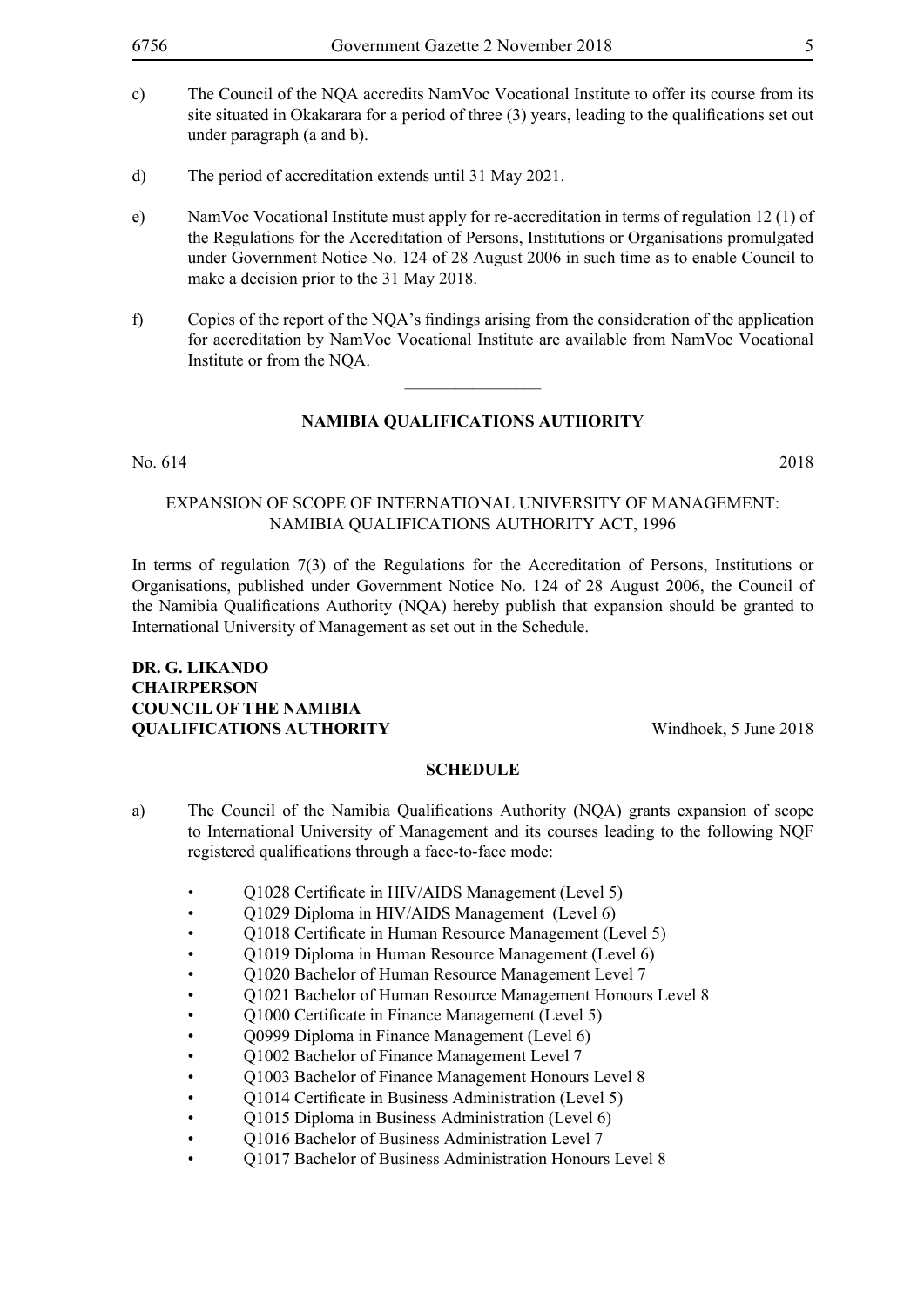- c) The Council of the NQA accredits NamVoc Vocational Institute to offer its course from its site situated in Okakarara for a period of three (3) years, leading to the qualifications set out under paragraph (a and b).
- d) The period of accreditation extends until 31 May 2021.
- e) NamVoc Vocational Institute must apply for re-accreditation in terms of regulation 12 (1) of the Regulations for the Accreditation of Persons, Institutions or Organisations promulgated under Government Notice No. 124 of 28 August 2006 in such time as to enable Council to make a decision prior to the 31 May 2018.
- f) Copies of the report of the NQA's findings arising from the consideration of the application for accreditation by NamVoc Vocational Institute are available from NamVoc Vocational Institute or from the NQA.

 $\frac{1}{2}$ 

#### No. 614 2018

## Expansion of Scope of International University of Management: Namibia Qualifications Authority Act, 1996

In terms of regulation 7(3) of the Regulations for the Accreditation of Persons, Institutions or Organisations, published under Government Notice No. 124 of 28 August 2006, the Council of the Namibia Qualifications Authority (NQA) hereby publish that expansion should be granted to International University of Management as set out in the Schedule.

## **Dr. G. Likando Chairperson COUNCIL OF THE NAMIBIA QUALIFICATIONS AUTHORITY** Windhoek, 5 June 2018

- a) The Council of the Namibia Qualifications Authority (NQA) grants expansion of scope to International University of Management and its courses leading to the following NQF registered qualifications through a face-to-face mode:
	- Q1028 Certificate in HIV/AIDS Management (Level 5)
	- O1029 Diploma in HIV/AIDS Management (Level 6)
	- Q1018 Certificate in Human Resource Management (Level 5)
	- Q1019 Diploma in Human Resource Management (Level 6)
	- Q1020 Bachelor of Human Resource Management Level 7
	- Q1021 Bachelor of Human Resource Management Honours Level 8
	- Q1000 Certificate in Finance Management (Level 5)
	- Q0999 Diploma in Finance Management (Level 6)
	- Q1002 Bachelor of Finance Management Level 7
	- Q1003 Bachelor of Finance Management Honours Level 8
	- Q1014 Certificate in Business Administration (Level 5)
	- Q1015 Diploma in Business Administration (Level 6)
	- O1016 Bachelor of Business Administration Level 7
	- Q1017 Bachelor of Business Administration Honours Level 8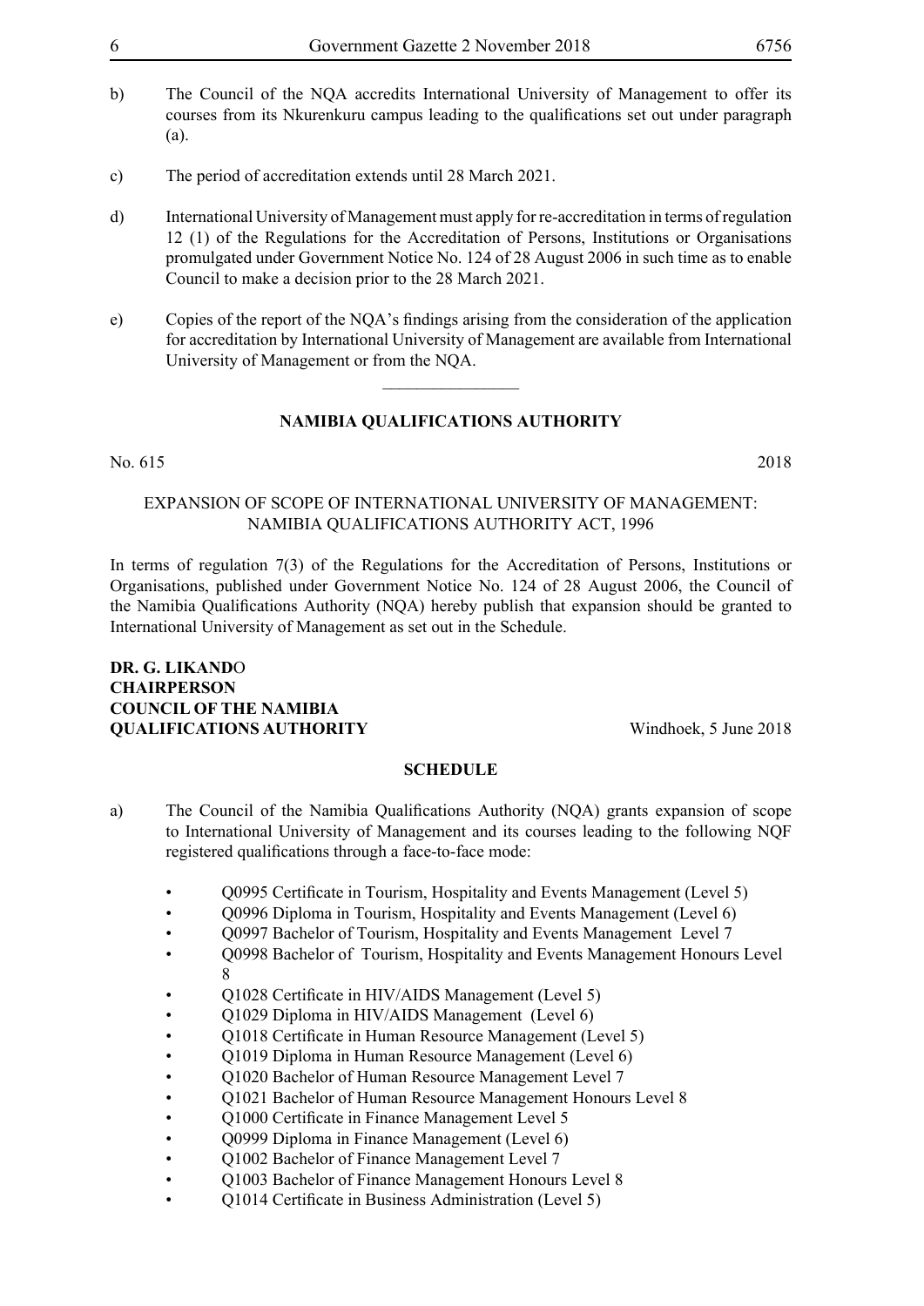- b) The Council of the NQA accredits International University of Management to offer its courses from its Nkurenkuru campus leading to the qualifications set out under paragraph (a).
- c) The period of accreditation extends until 28 March 2021.
- d) International University of Management must apply for re-accreditation in terms of regulation 12 (1) of the Regulations for the Accreditation of Persons, Institutions or Organisations promulgated under Government Notice No. 124 of 28 August 2006 in such time as to enable Council to make a decision prior to the 28 March 2021.
- e) Copies of the report of the NQA's findings arising from the consideration of the application for accreditation by International University of Management are available from International University of Management or from the NQA.

 $\frac{1}{2}$ 

#### No. 615 2018

Expansion of Scope of International University of Management: Namibia Qualifications Authority Act, 1996

In terms of regulation 7(3) of the Regulations for the Accreditation of Persons, Institutions or Organisations, published under Government Notice No. 124 of 28 August 2006, the Council of the Namibia Qualifications Authority (NQA) hereby publish that expansion should be granted to International University of Management as set out in the Schedule.

## **Dr. G. Likand**o **Chairperson COUNCIL OF THE NAMIBIA QUALIFICATIONS AUTHORITY** Windhoek, 5 June 2018

- a) The Council of the Namibia Qualifications Authority (NQA) grants expansion of scope to International University of Management and its courses leading to the following NQF registered qualifications through a face-to-face mode:
	- Q0995 Certificate in Tourism, Hospitality and Events Management (Level 5)
	- O0996 Diploma in Tourism, Hospitality and Events Management (Level 6)
	- Q0997 Bachelor of Tourism, Hospitality and Events Management Level 7
	- Q0998 Bachelor of Tourism, Hospitality and Events Management Honours Level 8
	- Q1028 Certificate in HIV/AIDS Management (Level 5)
	- Q1029 Diploma in HIV/AIDS Management (Level 6)
	- Q1018 Certificate in Human Resource Management (Level 5)
	- Q1019 Diploma in Human Resource Management (Level 6)
	- Q1020 Bachelor of Human Resource Management Level 7
	- Q1021 Bachelor of Human Resource Management Honours Level 8
	- Q1000 Certificate in Finance Management Level 5
	- Q0999 Diploma in Finance Management (Level 6)
	- Q1002 Bachelor of Finance Management Level 7
	- Q1003 Bachelor of Finance Management Honours Level 8
	- Q1014 Certificate in Business Administration (Level 5)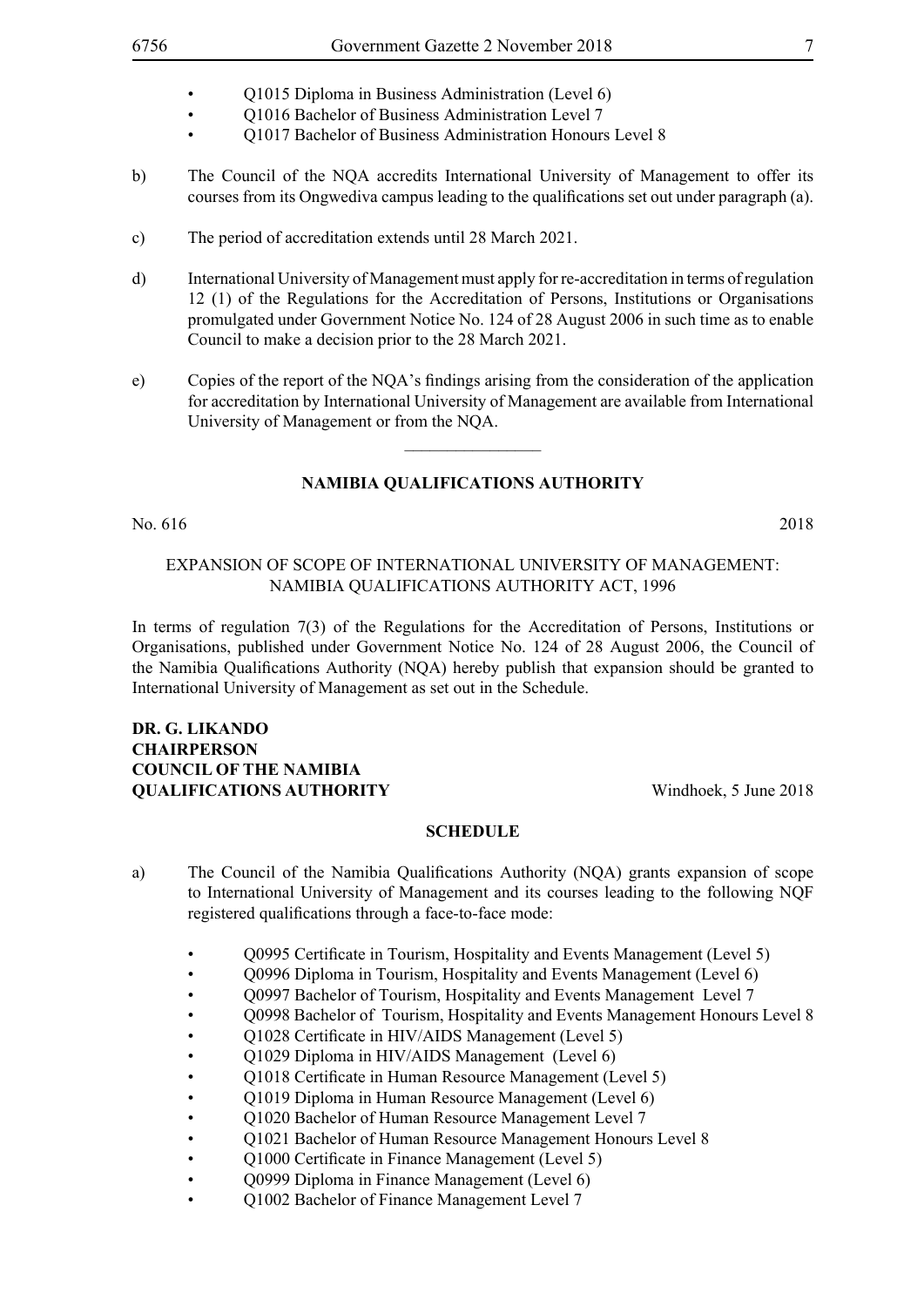- Q1015 Diploma in Business Administration (Level 6)
- Q1016 Bachelor of Business Administration Level 7
- Q1017 Bachelor of Business Administration Honours Level 8
- b) The Council of the NQA accredits International University of Management to offer its courses from its Ongwediva campus leading to the qualifications set out under paragraph (a).
- c) The period of accreditation extends until 28 March 2021.
- d) International University of Management must apply for re-accreditation in terms of regulation 12 (1) of the Regulations for the Accreditation of Persons, Institutions or Organisations promulgated under Government Notice No. 124 of 28 August 2006 in such time as to enable Council to make a decision prior to the 28 March 2021.
- e) Copies of the report of the NQA's findings arising from the consideration of the application for accreditation by International University of Management are available from International University of Management or from the NQA.

 $\overline{\phantom{a}}$  , where  $\overline{\phantom{a}}$ 

No. 616 2018

#### Expansion of Scope of International University of Management: Namibia Qualifications Authority Act, 1996

In terms of regulation 7(3) of the Regulations for the Accreditation of Persons, Institutions or Organisations, published under Government Notice No. 124 of 28 August 2006, the Council of the Namibia Qualifications Authority (NQA) hereby publish that expansion should be granted to International University of Management as set out in the Schedule.

## **Dr. G. Likando Chairperson COUNCIL OF THE NAMIBIA OUALIFICATIONS AUTHORITY** Windhoek, 5 June 2018

- a) The Council of the Namibia Qualifications Authority (NQA) grants expansion of scope to International University of Management and its courses leading to the following NQF registered qualifications through a face-to-face mode:
	- Q0995 Certificate in Tourism, Hospitality and Events Management (Level 5)
	- Q0996 Diploma in Tourism, Hospitality and Events Management (Level 6)
	- Q0997 Bachelor of Tourism, Hospitality and Events Management Level 7
	- Q0998 Bachelor of Tourism, Hospitality and Events Management Honours Level 8
	- Q1028 Certificate in HIV/AIDS Management (Level 5)
	- Q1029 Diploma in HIV/AIDS Management (Level 6)
	- Q1018 Certificate in Human Resource Management (Level 5)
	- Q1019 Diploma in Human Resource Management (Level 6)
	- O1020 Bachelor of Human Resource Management Level 7
	- Q1021 Bachelor of Human Resource Management Honours Level 8
	- Q1000 Certificate in Finance Management (Level 5)
	- Q0999 Diploma in Finance Management (Level 6)
	- Q1002 Bachelor of Finance Management Level 7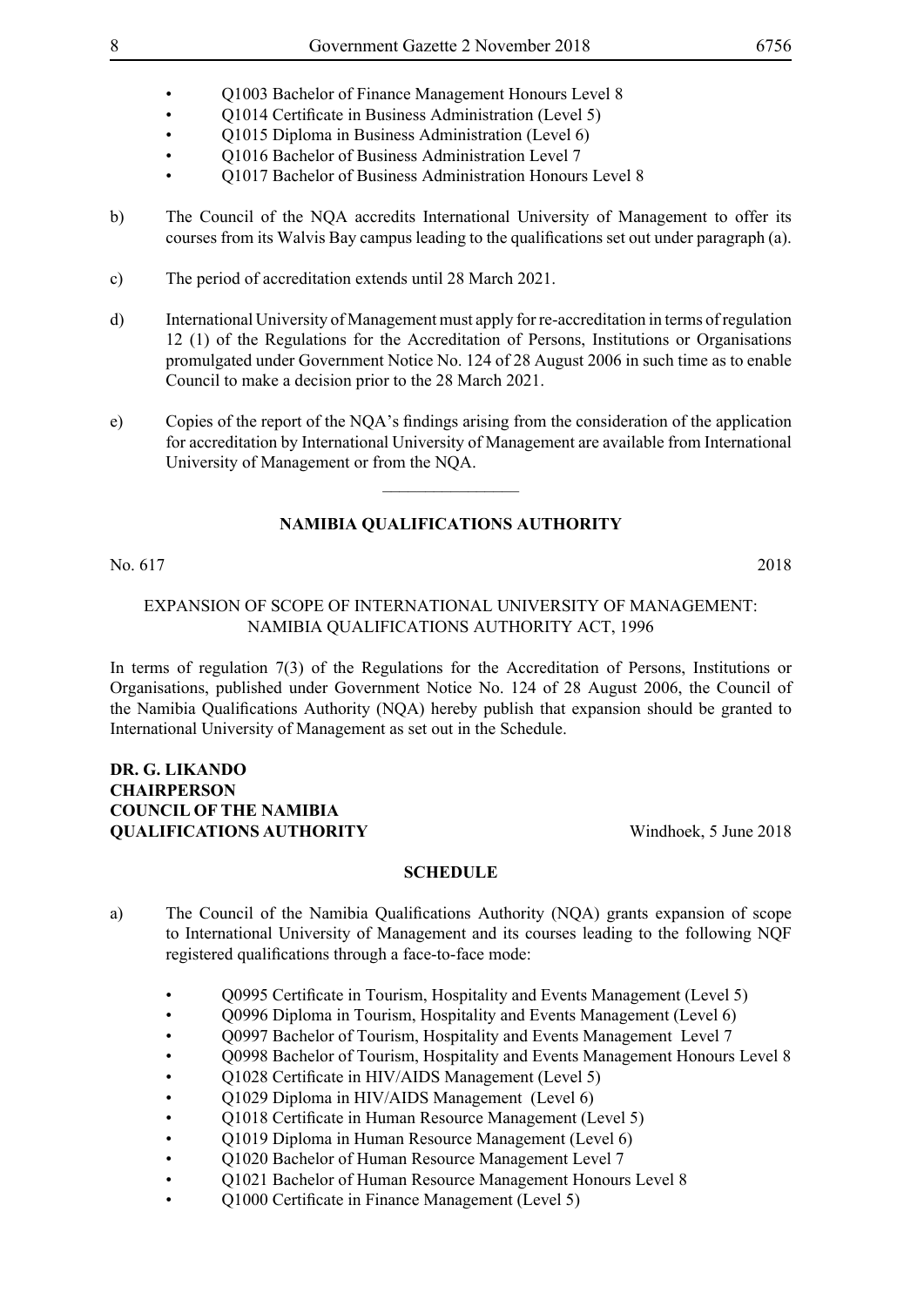- Q1003 Bachelor of Finance Management Honours Level 8
- Q1014 Certificate in Business Administration (Level 5)
- Q1015 Diploma in Business Administration (Level 6)
- Q1016 Bachelor of Business Administration Level 7
- Q1017 Bachelor of Business Administration Honours Level 8
- b) The Council of the NQA accredits International University of Management to offer its courses from its Walvis Bay campus leading to the qualifications set out under paragraph (a).
- c) The period of accreditation extends until 28 March 2021.
- d) International University of Management must apply for re-accreditation in terms of regulation 12 (1) of the Regulations for the Accreditation of Persons, Institutions or Organisations promulgated under Government Notice No. 124 of 28 August 2006 in such time as to enable Council to make a decision prior to the 28 March 2021.
- e) Copies of the report of the NQA's findings arising from the consideration of the application for accreditation by International University of Management are available from International University of Management or from the NQA.

 $\frac{1}{2}$ 

## **NAMIBIA QUALIFICATIONS AUTHORITY**

## No. 617 2018

## Expansion of Scope of International University of Management: Namibia Qualifications Authority Act, 1996

In terms of regulation 7(3) of the Regulations for the Accreditation of Persons, Institutions or Organisations, published under Government Notice No. 124 of 28 August 2006, the Council of the Namibia Qualifications Authority (NQA) hereby publish that expansion should be granted to International University of Management as set out in the Schedule.

## **Dr. G. Likando Chairperson COUNCIL OF THE NAMIBIA QUALIFICATIONS AUTHORITY** Windhoek, 5 June 2018

- a) The Council of the Namibia Qualifications Authority (NQA) grants expansion of scope to International University of Management and its courses leading to the following NQF registered qualifications through a face-to-face mode:
	- O0995 Certificate in Tourism, Hospitality and Events Management (Level 5)
	- Q0996 Diploma in Tourism, Hospitality and Events Management (Level 6)
	- Q0997 Bachelor of Tourism, Hospitality and Events Management Level 7
	- Q0998 Bachelor of Tourism, Hospitality and Events Management Honours Level 8
	- Q1028 Certificate in HIV/AIDS Management (Level 5)
	- Q1029 Diploma in HIV/AIDS Management (Level 6)
	- O1018 Certificate in Human Resource Management (Level 5)
	- Q1019 Diploma in Human Resource Management (Level 6)
	- Q1020 Bachelor of Human Resource Management Level 7
	- Q1021 Bachelor of Human Resource Management Honours Level 8
	- Q1000 Certificate in Finance Management (Level 5)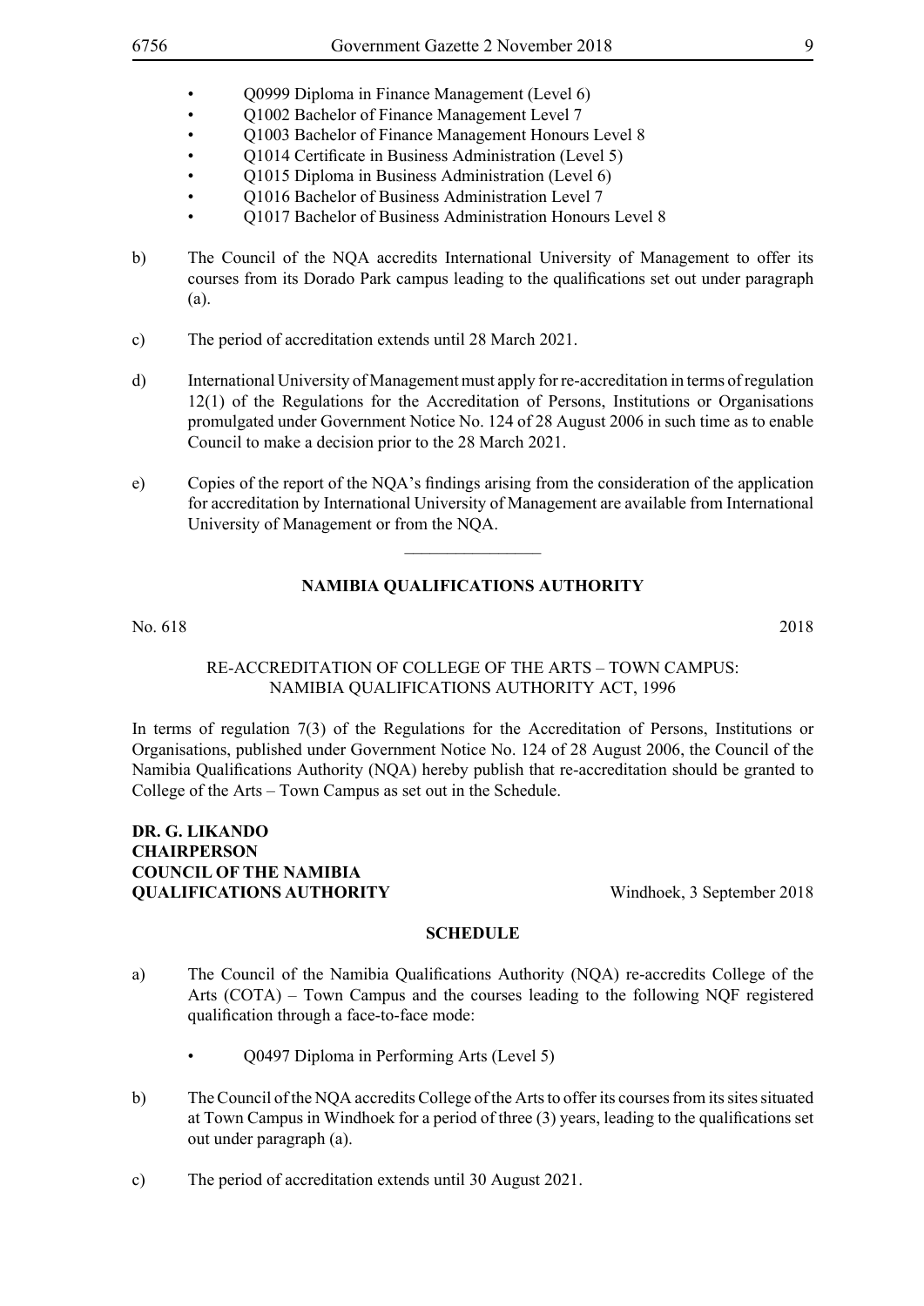- Q0999 Diploma in Finance Management (Level 6)
- Q1002 Bachelor of Finance Management Level 7
- Q1003 Bachelor of Finance Management Honours Level 8
- Q1014 Certificate in Business Administration (Level 5)
- Q1015 Diploma in Business Administration (Level 6)
- Q1016 Bachelor of Business Administration Level 7
- Q1017 Bachelor of Business Administration Honours Level 8
- b) The Council of the NQA accredits International University of Management to offer its courses from its Dorado Park campus leading to the qualifications set out under paragraph (a).
- c) The period of accreditation extends until 28 March 2021.
- d) International University of Management must apply for re-accreditation in terms of regulation 12(1) of the Regulations for the Accreditation of Persons, Institutions or Organisations promulgated under Government Notice No. 124 of 28 August 2006 in such time as to enable Council to make a decision prior to the 28 March 2021.
- e) Copies of the report of the NQA's findings arising from the consideration of the application for accreditation by International University of Management are available from International University of Management or from the NQA.

 $\overline{\phantom{a}}$  , where  $\overline{\phantom{a}}$ 

## **NAMIBIA QUALIFICATIONS AUTHORITY**

No. 618 2018

#### Re-Accreditation of College of the Arts – Town Campus: Namibia Qualifications Authority Act, 1996

In terms of regulation 7(3) of the Regulations for the Accreditation of Persons, Institutions or Organisations, published under Government Notice No. 124 of 28 August 2006, the Council of the Namibia Qualifications Authority (NQA) hereby publish that re-accreditation should be granted to College of the Arts – Town Campus as set out in the Schedule.

## **Dr. G. Likando Chairperson COUNCIL OF THE NAMIBIA OUALIFICATIONS AUTHORITY** Windhoek, 3 September 2018

- a) The Council of the Namibia Qualifications Authority (NQA) re-accredits College of the Arts (COTA) – Town Campus and the courses leading to the following NQF registered qualification through a face-to-face mode:
	- Q0497 Diploma in Performing Arts (Level 5)
- b) The Council of the NQA accredits College of the Arts to offer its courses from its sites situated at Town Campus in Windhoek for a period of three (3) years, leading to the qualifications set out under paragraph (a).
- c) The period of accreditation extends until 30 August 2021.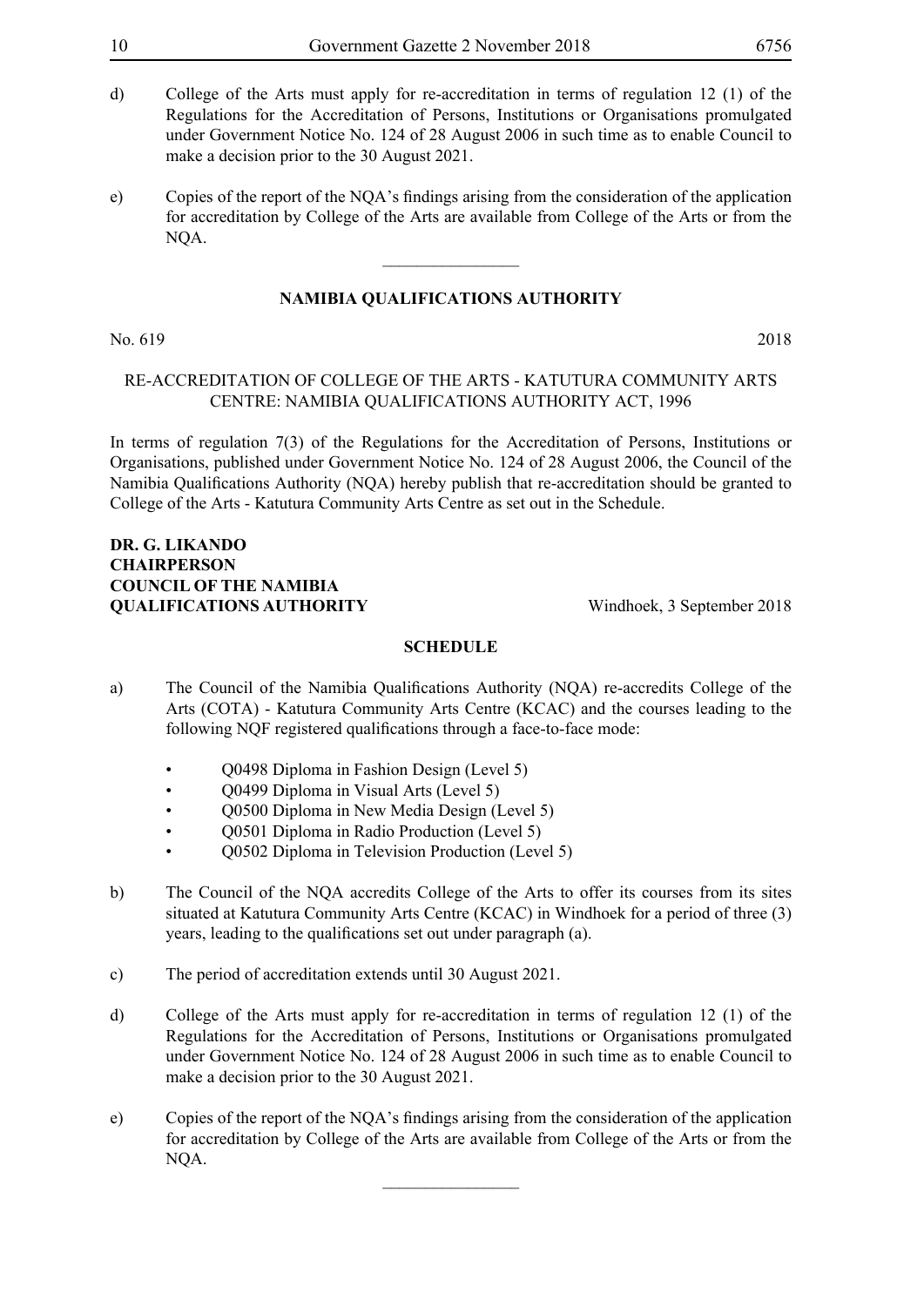- d) College of the Arts must apply for re-accreditation in terms of regulation 12 (1) of the Regulations for the Accreditation of Persons, Institutions or Organisations promulgated under Government Notice No. 124 of 28 August 2006 in such time as to enable Council to make a decision prior to the 30 August 2021.
- e) Copies of the report of the NQA's findings arising from the consideration of the application for accreditation by College of the Arts are available from College of the Arts or from the NQA.

 $\overline{\phantom{a}}$  , where  $\overline{\phantom{a}}$ 

#### No. 619 2018

## Re-Accreditation of College of the Arts - Katutura Community Arts Centre: Namibia Qualifications Authority Act, 1996

In terms of regulation 7(3) of the Regulations for the Accreditation of Persons, Institutions or Organisations, published under Government Notice No. 124 of 28 August 2006, the Council of the Namibia Qualifications Authority (NQA) hereby publish that re-accreditation should be granted to College of the Arts - Katutura Community Arts Centre as set out in the Schedule.

## **Dr. G. Likando Chairperson COUNCIL OF THE NAMIBIA QUALIFICATIONS AUTHORITY** Windhoek, 3 September 2018

### **SCHEDULE**

- a) The Council of the Namibia Qualifications Authority (NQA) re-accredits College of the Arts (COTA) - Katutura Community Arts Centre (KCAC) and the courses leading to the following NQF registered qualifications through a face-to-face mode:
	- Q0498 Diploma in Fashion Design (Level 5)
	- Q0499 Diploma in Visual Arts (Level 5)
	- Q0500 Diploma in New Media Design (Level 5)
	- Q0501 Diploma in Radio Production (Level 5)
	- Q0502 Diploma in Television Production (Level 5)
- b) The Council of the NQA accredits College of the Arts to offer its courses from its sites situated at Katutura Community Arts Centre (KCAC) in Windhoek for a period of three (3) years, leading to the qualifications set out under paragraph (a).
- c) The period of accreditation extends until 30 August 2021.
- d) College of the Arts must apply for re-accreditation in terms of regulation 12 (1) of the Regulations for the Accreditation of Persons, Institutions or Organisations promulgated under Government Notice No. 124 of 28 August 2006 in such time as to enable Council to make a decision prior to the 30 August 2021.
- e) Copies of the report of the NQA's findings arising from the consideration of the application for accreditation by College of the Arts are available from College of the Arts or from the NQA.

 $\frac{1}{2}$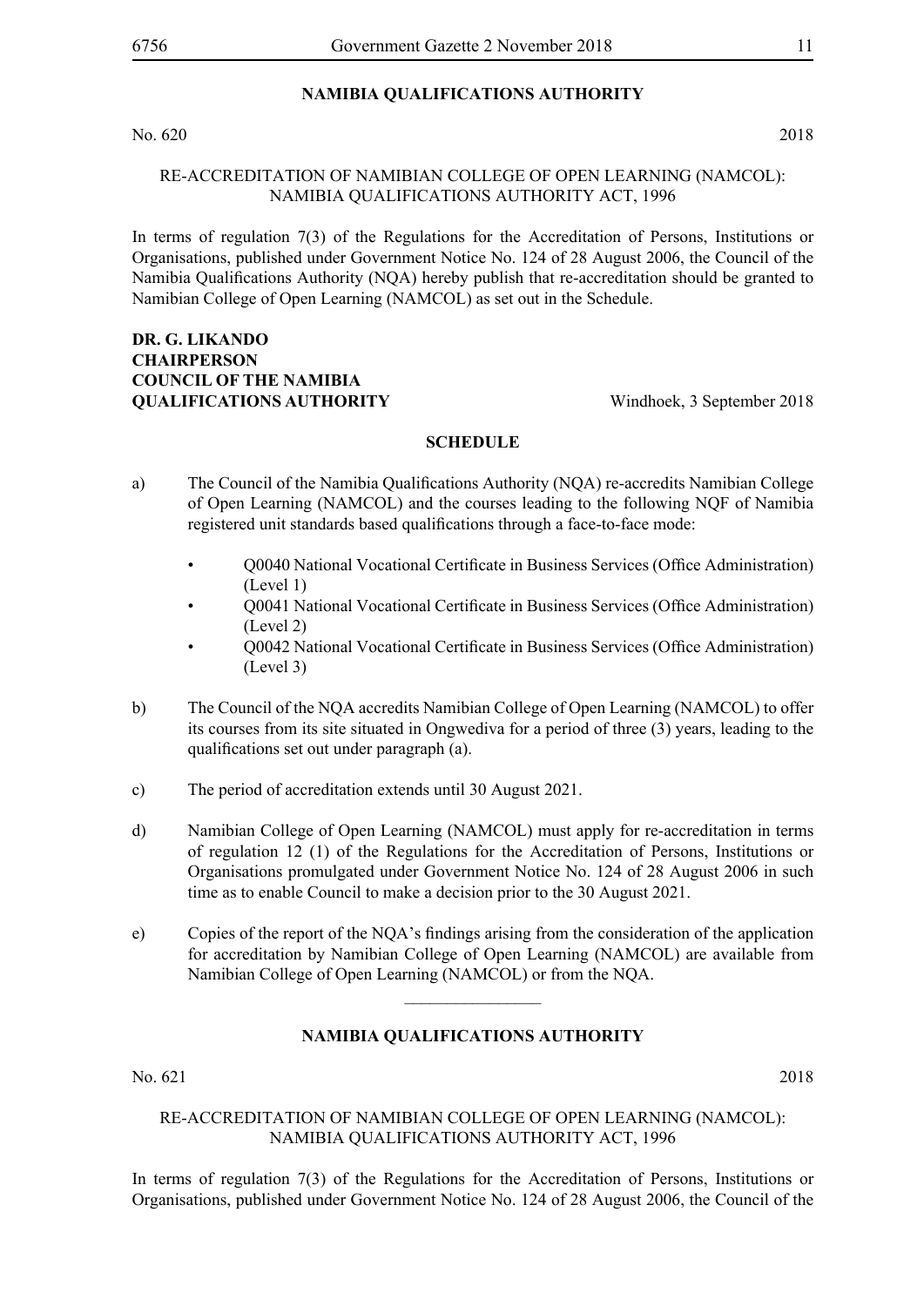No. 620 2018

## Re-Accreditation of Namibian College of Open Learning (NAMCOL): Namibia Qualifications Authority Act, 1996

In terms of regulation 7(3) of the Regulations for the Accreditation of Persons, Institutions or Organisations, published under Government Notice No. 124 of 28 August 2006, the Council of the Namibia Qualifications Authority (NQA) hereby publish that re-accreditation should be granted to Namibian College of Open Learning (NAMCOL) as set out in the Schedule.

## **Dr. G. Likando Chairperson COUNCIL OF THE NAMIBIA QUALIFICATIONS AUTHORITY** Windhoek, 3 September 2018

#### **SCHEDULE**

- a) The Council of the Namibia Qualifications Authority (NQA) re-accredits Namibian College of Open Learning (NAMCOL) and the courses leading to the following NQF of Namibia registered unit standards based qualifications through a face-to-face mode:
	- Q0040 National Vocational Certificate in Business Services (Office Administration) (Level 1)
	- Q0041 National Vocational Certificate in Business Services (Office Administration) (Level 2)
	- Q0042 National Vocational Certificate in Business Services (Office Administration) (Level 3)
- b) The Council of the NQA accredits Namibian College of Open Learning (NAMCOL) to offer its courses from its site situated in Ongwediva for a period of three (3) years, leading to the qualifications set out under paragraph (a).
- c) The period of accreditation extends until 30 August 2021.
- d) Namibian College of Open Learning (NAMCOL) must apply for re-accreditation in terms of regulation 12 (1) of the Regulations for the Accreditation of Persons, Institutions or Organisations promulgated under Government Notice No. 124 of 28 August 2006 in such time as to enable Council to make a decision prior to the 30 August 2021.
- e) Copies of the report of the NQA's findings arising from the consideration of the application for accreditation by Namibian College of Open Learning (NAMCOL) are available from Namibian College of Open Learning (NAMCOL) or from the NQA.

## **NAMIBIA QUALIFICATIONS AUTHORITY**

 $\frac{1}{2}$ 

No. 621 2018

## Re-Accreditation of Namibian College of Open Learning (NAMCOL): Namibia Qualifications Authority Act, 1996

In terms of regulation 7(3) of the Regulations for the Accreditation of Persons, Institutions or Organisations, published under Government Notice No. 124 of 28 August 2006, the Council of the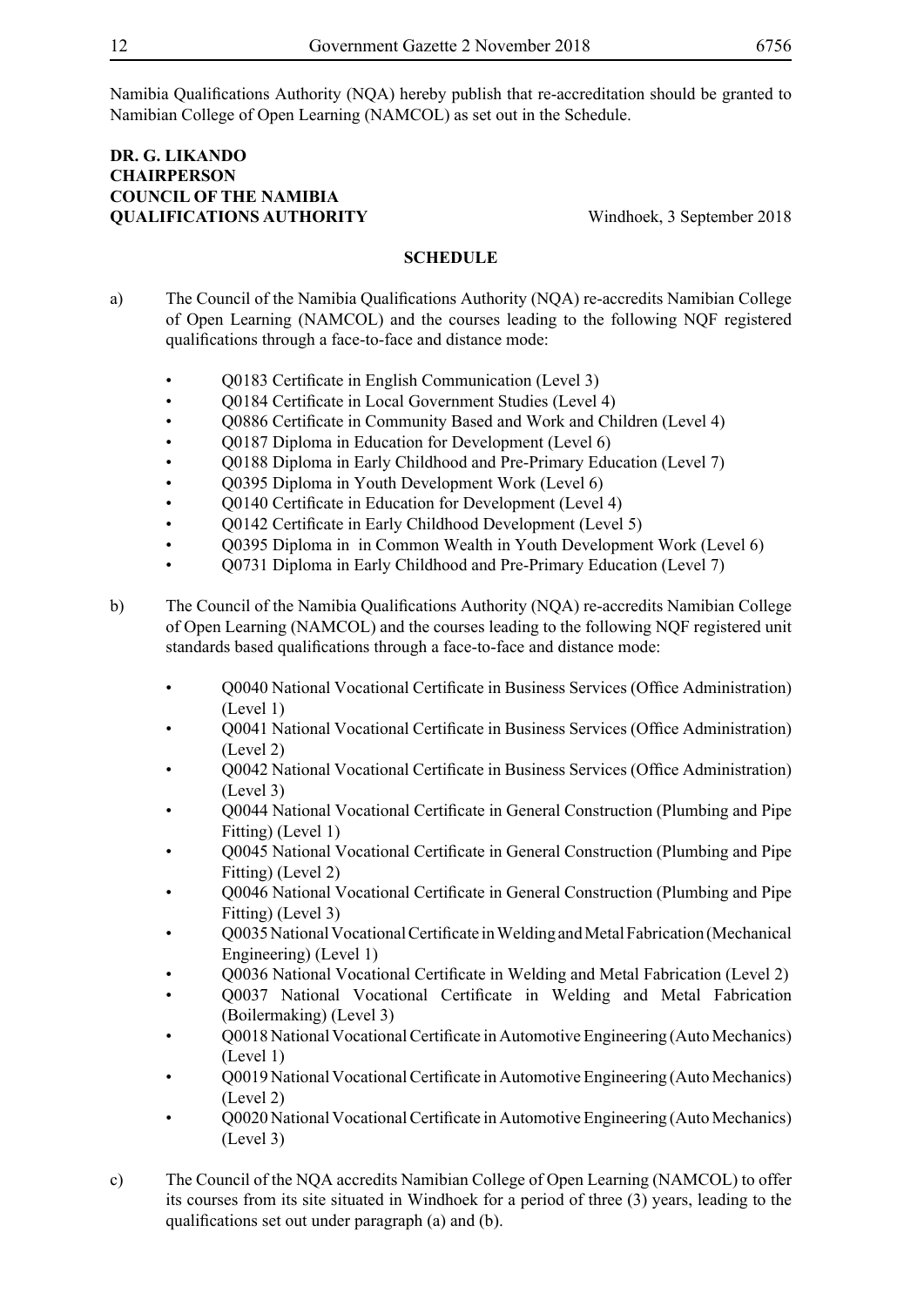Namibia Qualifications Authority (NQA) hereby publish that re-accreditation should be granted to Namibian College of Open Learning (NAMCOL) as set out in the Schedule.

## **Dr. G. Likando Chairperson COUNCIL OF THE NAMIBIA QUALIFICATIONS AUTHORITY** Windhoek, 3 September 2018

- a) The Council of the Namibia Qualifications Authority (NQA) re-accredits Namibian College of Open Learning (NAMCOL) and the courses leading to the following NQF registered qualifications through a face-to-face and distance mode:
	- Q0183 Certificate in English Communication (Level 3)
	- O0184 Certificate in Local Government Studies (Level 4)
	- Q0886 Certificate in Community Based and Work and Children (Level 4)
	- Q0187 Diploma in Education for Development (Level 6)
	- Q0188 Diploma in Early Childhood and Pre-Primary Education (Level 7)
	- Q0395 Diploma in Youth Development Work (Level 6)
	- O0140 Certificate in Education for Development (Level 4)
	- Q0142 Certificate in Early Childhood Development (Level 5)
	- Q0395 Diploma in in Common Wealth in Youth Development Work (Level 6)
	- Q0731 Diploma in Early Childhood and Pre-Primary Education (Level 7)
- b) The Council of the Namibia Qualifications Authority (NQA) re-accredits Namibian College of Open Learning (NAMCOL) and the courses leading to the following NQF registered unit standards based qualifications through a face-to-face and distance mode:
	- Q0040 National Vocational Certificate in Business Services (Office Administration) (Level 1)
	- Q0041 National Vocational Certificate in Business Services (Office Administration) (Level 2)
	- Q0042 National Vocational Certificate in Business Services (Office Administration) (Level 3)
	- Q0044 National Vocational Certificate in General Construction (Plumbing and Pipe Fitting) (Level 1)
	- Q0045 National Vocational Certificate in General Construction (Plumbing and Pipe Fitting) (Level 2)
	- Q0046 National Vocational Certificate in General Construction (Plumbing and Pipe Fitting) (Level 3)
	- Q0035 National Vocational Certificate in Welding and Metal Fabrication (Mechanical Engineering) (Level 1)
	- Q0036 National Vocational Certificate in Welding and Metal Fabrication (Level 2)
	- Q0037 National Vocational Certificate in Welding and Metal Fabrication (Boilermaking) (Level 3)
	- Q0018 National Vocational Certificate in Automotive Engineering (Auto Mechanics) (Level 1)
	- Q0019 National Vocational Certificate in Automotive Engineering (Auto Mechanics) (Level 2)
	- O0020 National Vocational Certificate in Automotive Engineering (Auto Mechanics) (Level 3)
- c) The Council of the NQA accredits Namibian College of Open Learning (NAMCOL) to offer its courses from its site situated in Windhoek for a period of three (3) years, leading to the qualifications set out under paragraph (a) and (b).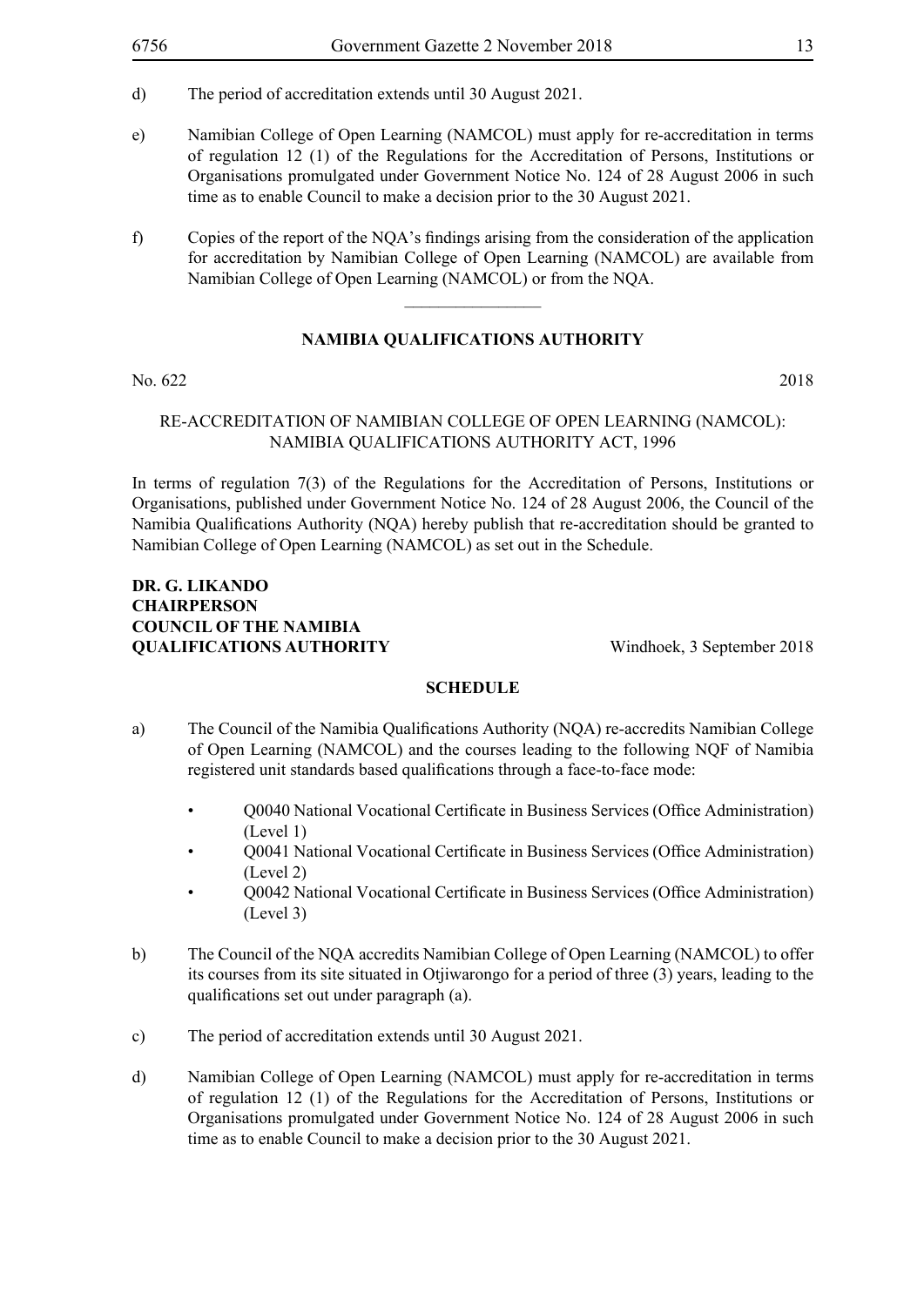- d) The period of accreditation extends until 30 August 2021.
- e) Namibian College of Open Learning (NAMCOL) must apply for re-accreditation in terms of regulation 12 (1) of the Regulations for the Accreditation of Persons, Institutions or Organisations promulgated under Government Notice No. 124 of 28 August 2006 in such time as to enable Council to make a decision prior to the 30 August 2021.
- f) Copies of the report of the NQA's findings arising from the consideration of the application for accreditation by Namibian College of Open Learning (NAMCOL) are available from Namibian College of Open Learning (NAMCOL) or from the NQA.

 $\frac{1}{2}$ 

## **NAMIBIA QUALIFICATIONS AUTHORITY**

No. 622 2018

## Re-Accreditation of Namibian College of Open Learning (NAMCOL): Namibia Qualifications Authority Act, 1996

In terms of regulation 7(3) of the Regulations for the Accreditation of Persons, Institutions or Organisations, published under Government Notice No. 124 of 28 August 2006, the Council of the Namibia Qualifications Authority (NQA) hereby publish that re-accreditation should be granted to Namibian College of Open Learning (NAMCOL) as set out in the Schedule.

## **Dr. G. Likando Chairperson COUNCIL OF THE NAMIBIA QUALIFICATIONS AUTHORITY** Windhoek, 3 September 2018

- a) The Council of the Namibia Qualifications Authority (NQA) re-accredits Namibian College of Open Learning (NAMCOL) and the courses leading to the following NQF of Namibia registered unit standards based qualifications through a face-to-face mode:
	- Q0040 National Vocational Certificate in Business Services (Office Administration) (Level 1)
	- Q0041 National Vocational Certificate in Business Services (Office Administration) (Level 2)
	- Q0042 National Vocational Certificate in Business Services (Office Administration) (Level 3)
- b) The Council of the NQA accredits Namibian College of Open Learning (NAMCOL) to offer its courses from its site situated in Otjiwarongo for a period of three (3) years, leading to the qualifications set out under paragraph (a).
- c) The period of accreditation extends until 30 August 2021.
- d) Namibian College of Open Learning (NAMCOL) must apply for re-accreditation in terms of regulation 12 (1) of the Regulations for the Accreditation of Persons, Institutions or Organisations promulgated under Government Notice No. 124 of 28 August 2006 in such time as to enable Council to make a decision prior to the 30 August 2021.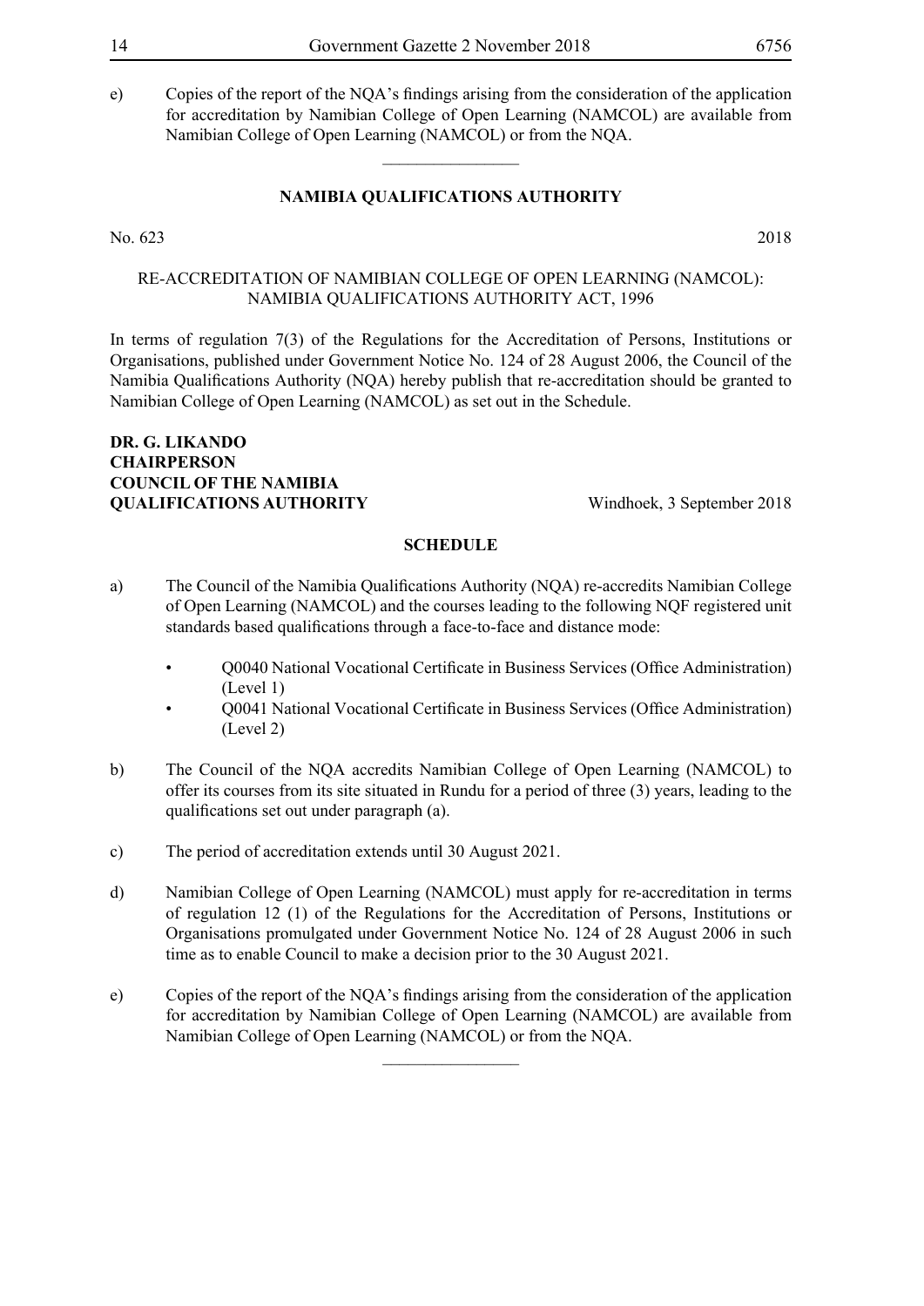e) Copies of the report of the NQA's findings arising from the consideration of the application for accreditation by Namibian College of Open Learning (NAMCOL) are available from Namibian College of Open Learning (NAMCOL) or from the NQA.

## **NAMIBIA QUALIFICATIONS AUTHORITY**

 $\overline{\phantom{a}}$  , where  $\overline{\phantom{a}}$ 

No. 623 2018

Re-Accreditation of Namibian College of Open Learning (NAMCOL): Namibia Qualifications Authority Act, 1996

In terms of regulation 7(3) of the Regulations for the Accreditation of Persons, Institutions or Organisations, published under Government Notice No. 124 of 28 August 2006, the Council of the Namibia Qualifications Authority (NQA) hereby publish that re-accreditation should be granted to Namibian College of Open Learning (NAMCOL) as set out in the Schedule.

## **Dr. G. Likando Chairperson COUNCIL OF THE NAMIBIA OUALIFICATIONS AUTHORITY** Windhoek, 3 September 2018

#### **SCHEDULE**

- a) The Council of the Namibia Qualifications Authority (NQA) re-accredits Namibian College of Open Learning (NAMCOL) and the courses leading to the following NQF registered unit standards based qualifications through a face-to-face and distance mode:
	- Q0040 National Vocational Certificate in Business Services (Office Administration) (Level 1)
	- Q0041 National Vocational Certificate in Business Services (Office Administration) (Level 2)
- b) The Council of the NQA accredits Namibian College of Open Learning (NAMCOL) to offer its courses from its site situated in Rundu for a period of three (3) years, leading to the qualifications set out under paragraph (a).
- c) The period of accreditation extends until 30 August 2021.
- d) Namibian College of Open Learning (NAMCOL) must apply for re-accreditation in terms of regulation 12 (1) of the Regulations for the Accreditation of Persons, Institutions or Organisations promulgated under Government Notice No. 124 of 28 August 2006 in such time as to enable Council to make a decision prior to the 30 August 2021.
- e) Copies of the report of the NQA's findings arising from the consideration of the application for accreditation by Namibian College of Open Learning (NAMCOL) are available from Namibian College of Open Learning (NAMCOL) or from the NQA.

 $\frac{1}{2}$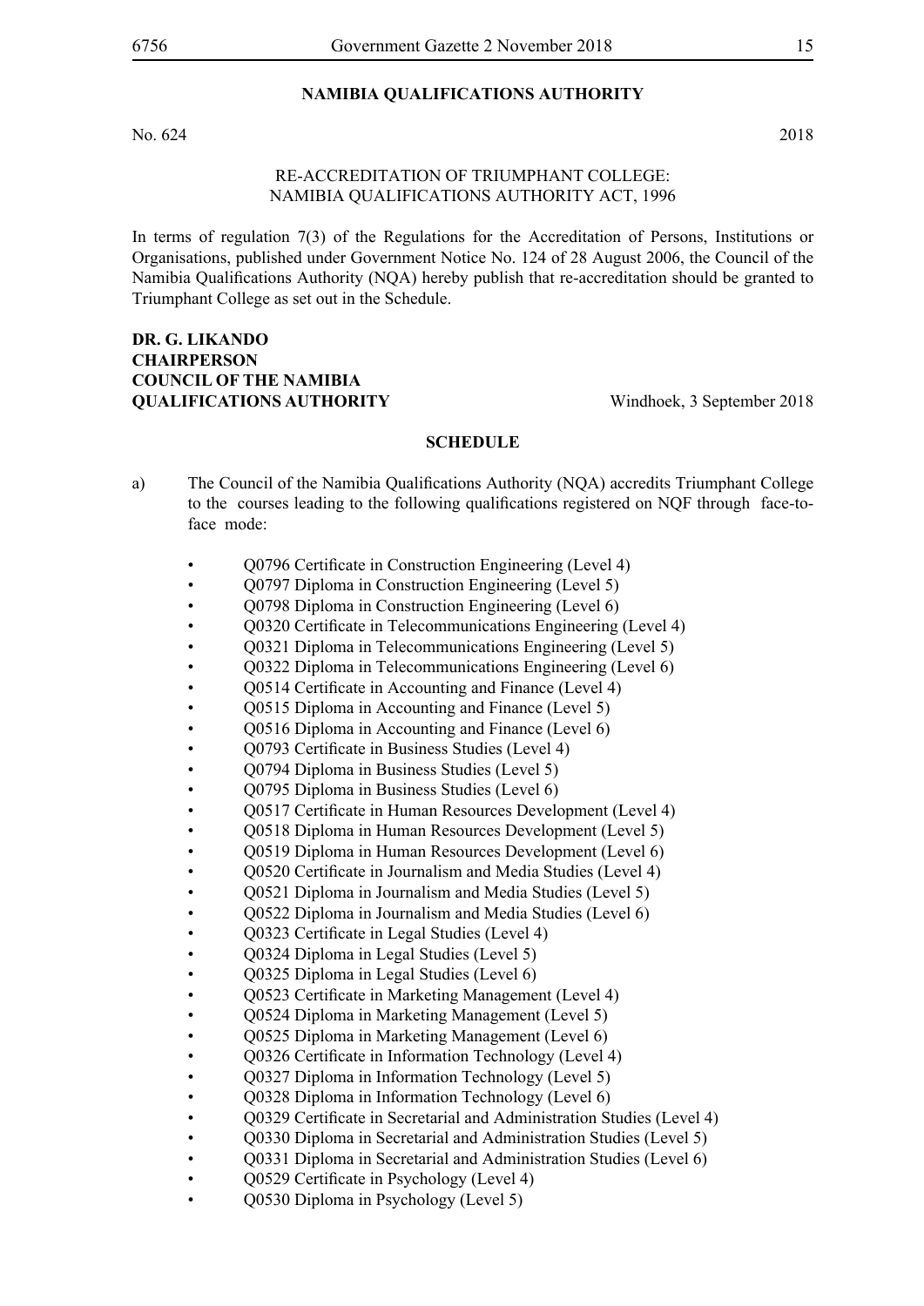No. 624 2018

### Re-Accreditation of Triumphant College: Namibia Qualifications Authority Act, 1996

In terms of regulation 7(3) of the Regulations for the Accreditation of Persons, Institutions or Organisations, published under Government Notice No. 124 of 28 August 2006, the Council of the Namibia Qualifications Authority (NQA) hereby publish that re-accreditation should be granted to Triumphant College as set out in the Schedule.

## **Dr. G. Likando Chairperson COUNCIL OF THE NAMIBIA QUALIFICATIONS AUTHORITY** Windhoek, 3 September 2018

- a) The Council of the Namibia Qualifications Authority (NQA) accredits Triumphant College to the courses leading to the following qualifications registered on NQF through face-toface mode:
	- Q0796 Certificate in Construction Engineering (Level 4)
	- Q0797 Diploma in Construction Engineering (Level 5)
	- Q0798 Diploma in Construction Engineering (Level 6)
	- Q0320 Certificate in Telecommunications Engineering (Level 4)
	- Q0321 Diploma in Telecommunications Engineering (Level 5)
	- Q0322 Diploma in Telecommunications Engineering (Level 6)
	- Q0514 Certificate in Accounting and Finance (Level 4)
	- Q0515 Diploma in Accounting and Finance (Level 5)
	- Q0516 Diploma in Accounting and Finance (Level 6)
	- Q0793 Certificate in Business Studies (Level 4)
	- Q0794 Diploma in Business Studies (Level 5)
	- Q0795 Diploma in Business Studies (Level 6)
	- Q0517 Certificate in Human Resources Development (Level 4)
	- Q0518 Diploma in Human Resources Development (Level 5)
	- Q0519 Diploma in Human Resources Development (Level 6)
	- Q0520 Certificate in Journalism and Media Studies (Level 4)
	- Q0521 Diploma in Journalism and Media Studies (Level 5)
	- Q0522 Diploma in Journalism and Media Studies (Level 6)
	- Q0323 Certificate in Legal Studies (Level 4)
	- Q0324 Diploma in Legal Studies (Level 5)
	- Q0325 Diploma in Legal Studies (Level 6)
	- Q0523 Certificate in Marketing Management (Level 4)
	- Q0524 Diploma in Marketing Management (Level 5)
	- Q0525 Diploma in Marketing Management (Level 6)
	- Q0326 Certificate in Information Technology (Level 4)
	- Q0327 Diploma in Information Technology (Level 5)
	- Q0328 Diploma in Information Technology (Level 6)
	- O0329 Certificate in Secretarial and Administration Studies (Level 4)
	- Q0330 Diploma in Secretarial and Administration Studies (Level 5)
	- Q0331 Diploma in Secretarial and Administration Studies (Level 6)
	- Q0529 Certificate in Psychology (Level 4)
	- Q0530 Diploma in Psychology (Level 5)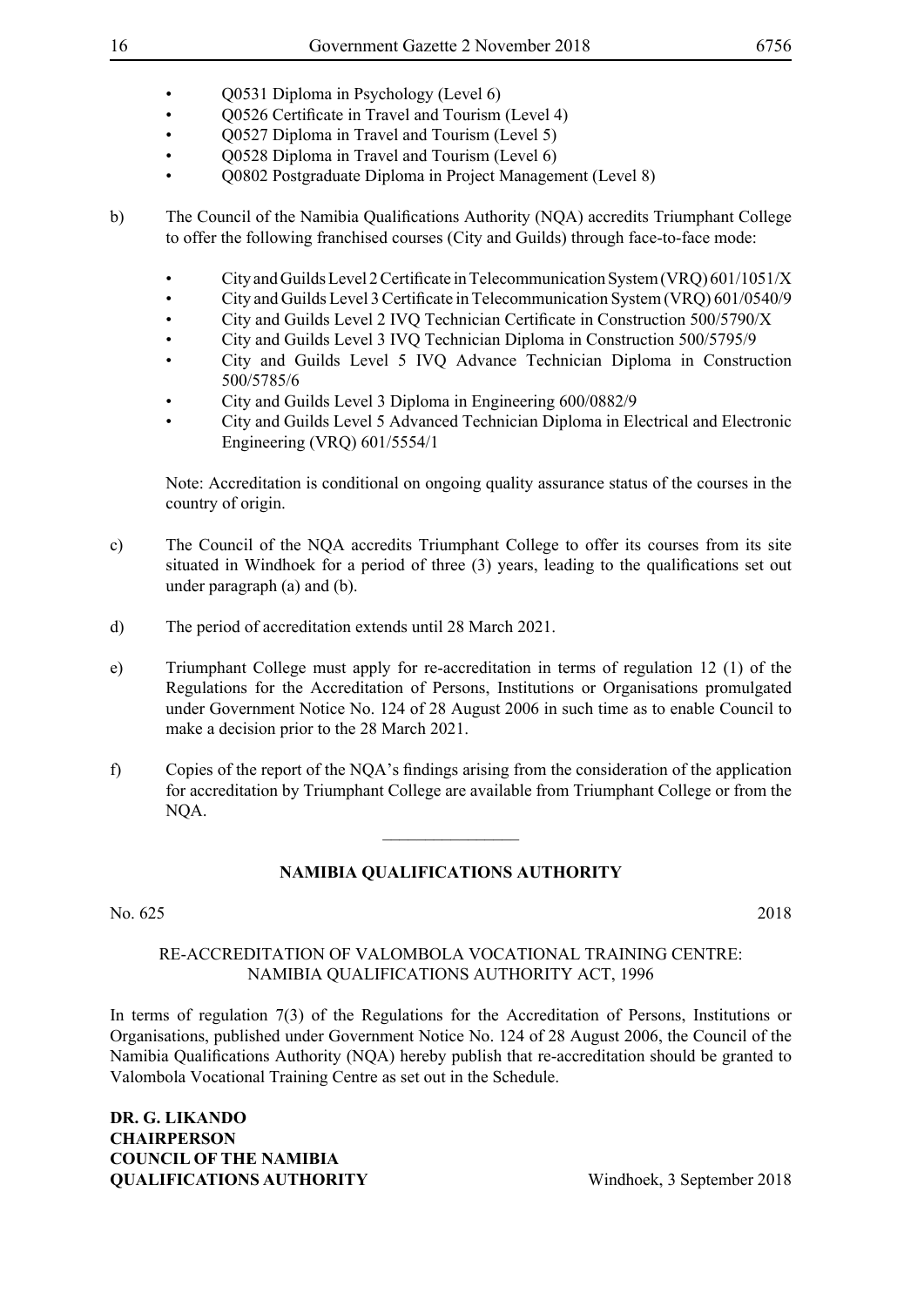- Q0531 Diploma in Psychology (Level 6)
- Q0526 Certificate in Travel and Tourism (Level 4)
- Q0527 Diploma in Travel and Tourism (Level 5)
- O0528 Diploma in Travel and Tourism (Level 6)
- Q0802 Postgraduate Diploma in Project Management (Level 8)
- b) The Council of the Namibia Qualifications Authority (NQA) accredits Triumphant College to offer the following franchised courses (City and Guilds) through face-to-face mode:
	- City and Guilds Level 2 Certificate in Telecommunication System (VRQ) 601/1051/X
	- City and Guilds Level 3 Certificate in Telecommunication System (VRQ) 601/0540/9
	- City and Guilds Level 2 IVQ Technician Certificate in Construction 500/5790/X
	- City and Guilds Level 3 IVQ Technician Diploma in Construction 500/5795/9
	- City and Guilds Level 5 IVQ Advance Technician Diploma in Construction 500/5785/6
	- City and Guilds Level 3 Diploma in Engineering 600/0882/9
	- City and Guilds Level 5 Advanced Technician Diploma in Electrical and Electronic Engineering (VRQ) 601/5554/1

Note: Accreditation is conditional on ongoing quality assurance status of the courses in the country of origin.

- c) The Council of the NQA accredits Triumphant College to offer its courses from its site situated in Windhoek for a period of three (3) years, leading to the qualifications set out under paragraph (a) and (b).
- d) The period of accreditation extends until 28 March 2021.
- e) Triumphant College must apply for re-accreditation in terms of regulation 12 (1) of the Regulations for the Accreditation of Persons, Institutions or Organisations promulgated under Government Notice No. 124 of 28 August 2006 in such time as to enable Council to make a decision prior to the 28 March 2021.
- f) Copies of the report of the NQA's findings arising from the consideration of the application for accreditation by Triumphant College are available from Triumphant College or from the NQA.

## **NAMIBIA QUALIFICATIONS AUTHORITY**

 $\overline{\phantom{a}}$  , where  $\overline{\phantom{a}}$ 

## No. 625 2018

## Re-Accreditation of Valombola Vocational Training Centre: Namibia Qualifications Authority Act, 1996

In terms of regulation 7(3) of the Regulations for the Accreditation of Persons, Institutions or Organisations, published under Government Notice No. 124 of 28 August 2006, the Council of the Namibia Qualifications Authority (NQA) hereby publish that re-accreditation should be granted to Valombola Vocational Training Centre as set out in the Schedule.

**Dr. G. Likando Chairperson COUNCIL OF THE NAMIBIA OUALIFICATIONS AUTHORITY** Windhoek, 3 September 2018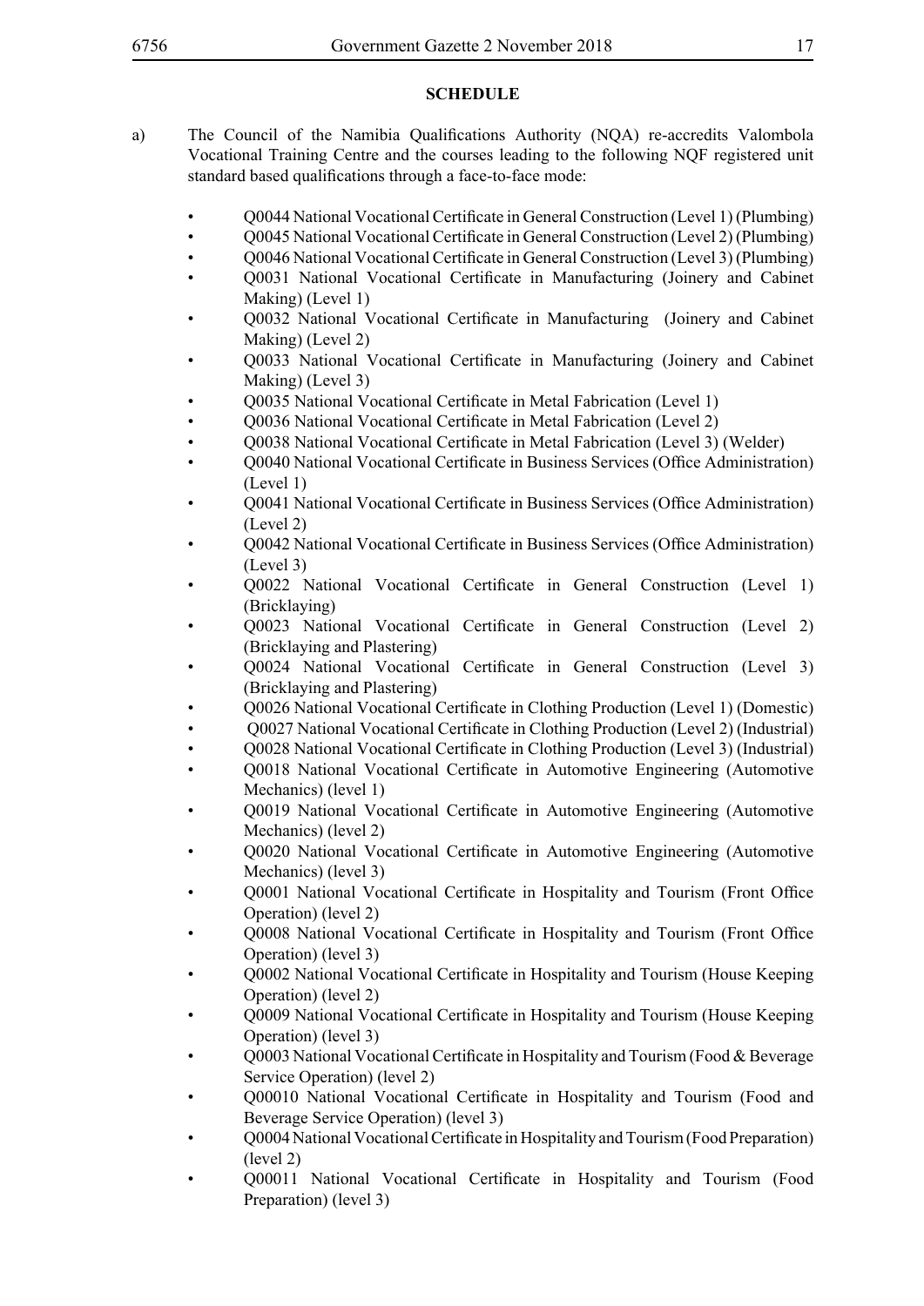- a) The Council of the Namibia Qualifications Authority (NQA) re-accredits Valombola Vocational Training Centre and the courses leading to the following NQF registered unit standard based qualifications through a face-to-face mode:
	- Q0044 National Vocational Certificate in General Construction (Level 1) (Plumbing)
	- O0045 National Vocational Certificate in General Construction (Level 2) (Plumbing)
	- Q0046 National Vocational Certificate in General Construction (Level 3) (Plumbing)
	- Q0031 National Vocational Certificate in Manufacturing (Joinery and Cabinet Making) (Level 1)
	- Q0032 National Vocational Certificate in Manufacturing (Joinery and Cabinet Making) (Level 2)
	- Q0033 National Vocational Certificate in Manufacturing (Joinery and Cabinet Making) (Level 3)
	- Q0035 National Vocational Certificate in Metal Fabrication (Level 1)
	- Q0036 National Vocational Certificate in Metal Fabrication (Level 2)
	- Q0038 National Vocational Certificate in Metal Fabrication (Level 3) (Welder)
	- Q0040 National Vocational Certificate in Business Services (Office Administration) (Level 1)
	- Q0041 National Vocational Certificate in Business Services (Office Administration) (Level 2)
	- Q0042 National Vocational Certificate in Business Services (Office Administration) (Level 3)
	- Q0022 National Vocational Certificate in General Construction (Level 1) (Bricklaying)
	- Q0023 National Vocational Certificate in General Construction (Level 2) (Bricklaying and Plastering)
	- Q0024 National Vocational Certificate in General Construction (Level 3) (Bricklaying and Plastering)
	- Q0026 National Vocational Certificate in Clothing Production (Level 1) (Domestic)
	- Q0027 National Vocational Certificate in Clothing Production (Level 2) (Industrial)
	- Q0028 National Vocational Certificate in Clothing Production (Level 3) (Industrial)
	- Q0018 National Vocational Certificate in Automotive Engineering (Automotive Mechanics) (level 1)
	- Q0019 National Vocational Certificate in Automotive Engineering (Automotive Mechanics) (level 2)
	- Q0020 National Vocational Certificate in Automotive Engineering (Automotive Mechanics) (level 3)
	- Q0001 National Vocational Certificate in Hospitality and Tourism (Front Office Operation) (level 2)
	- Q0008 National Vocational Certificate in Hospitality and Tourism (Front Office Operation) (level 3)
	- Q0002 National Vocational Certificate in Hospitality and Tourism (House Keeping Operation) (level 2)
	- Q0009 National Vocational Certificate in Hospitality and Tourism (House Keeping Operation) (level 3)
	- Q0003 National Vocational Certificate in Hospitality and Tourism (Food & Beverage Service Operation) (level 2)
	- Q00010 National Vocational Certificate in Hospitality and Tourism (Food and Beverage Service Operation) (level 3)
	- Q0004 National Vocational Certificate in Hospitality and Tourism (Food Preparation) (level 2)
	- Q00011 National Vocational Certificate in Hospitality and Tourism (Food Preparation) (level 3)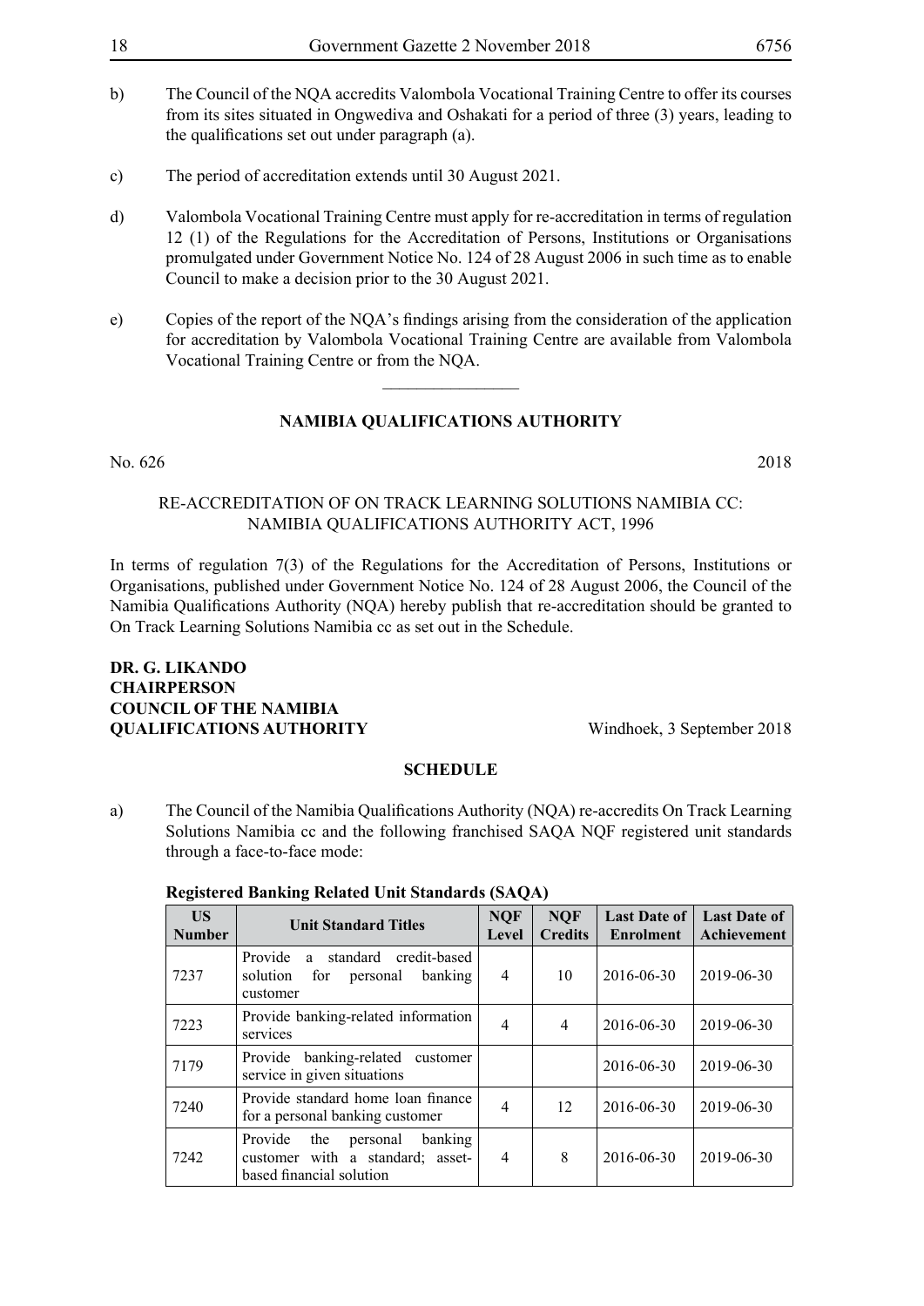- b) The Council of the NQA accredits Valombola Vocational Training Centre to offer its courses from its sites situated in Ongwediva and Oshakati for a period of three (3) years, leading to the qualifications set out under paragraph (a).
- c) The period of accreditation extends until 30 August 2021.
- d) Valombola Vocational Training Centre must apply for re-accreditation in terms of regulation 12 (1) of the Regulations for the Accreditation of Persons, Institutions or Organisations promulgated under Government Notice No. 124 of 28 August 2006 in such time as to enable Council to make a decision prior to the 30 August 2021.
- e) Copies of the report of the NQA's findings arising from the consideration of the application for accreditation by Valombola Vocational Training Centre are available from Valombola Vocational Training Centre or from the NQA.

 $\frac{1}{2}$ 

#### No. 626 2018

Re-Accreditation of On Track Learning Solutions Namibia cc: Namibia Qualifications Authority Act, 1996

In terms of regulation 7(3) of the Regulations for the Accreditation of Persons, Institutions or Organisations, published under Government Notice No. 124 of 28 August 2006, the Council of the Namibia Qualifications Authority (NQA) hereby publish that re-accreditation should be granted to On Track Learning Solutions Namibia cc as set out in the Schedule.

## **Dr. G. Likando Chairperson COUNCIL OF THE NAMIBIA QUALIFICATIONS AUTHORITY** Windhoek, 3 September 2018

#### **SCHEDULE**

a) The Council of the Namibia Qualifications Authority (NQA) re-accredits On Track Learning Solutions Namibia cc and the following franchised SAQA NQF registered unit standards through a face-to-face mode:

| <b>US</b><br><b>Number</b> | <b>Unit Standard Titles</b>                                                                           | <b>NQF</b><br>Level | <b>NOF</b><br><b>Credits</b> | <b>Last Date of</b><br><b>Enrolment</b> | <b>Last Date of</b><br>Achievement |
|----------------------------|-------------------------------------------------------------------------------------------------------|---------------------|------------------------------|-----------------------------------------|------------------------------------|
| 7237                       | standard<br>Provide<br>credit-based<br>a.<br>banking<br>solution<br>for<br>personal<br>customer       | 4                   | 10                           | 2016-06-30                              | 2019-06-30                         |
| 7223                       | Provide banking-related information<br>services                                                       | 4                   | $\overline{4}$               | 2016-06-30                              | 2019-06-30                         |
| 7179                       | Provide banking-related<br>customer<br>service in given situations                                    |                     |                              | 2016-06-30                              | 2019-06-30                         |
| 7240                       | Provide standard home loan finance<br>for a personal banking customer                                 | $\overline{4}$      | 12                           | 2016-06-30                              | 2019-06-30                         |
| 7242                       | banking<br>Provide<br>the<br>personal<br>customer with a standard; asset-<br>based financial solution | 4                   | 8                            | 2016-06-30                              | 2019-06-30                         |

#### **Registered Banking Related Unit Standards (SAQA)**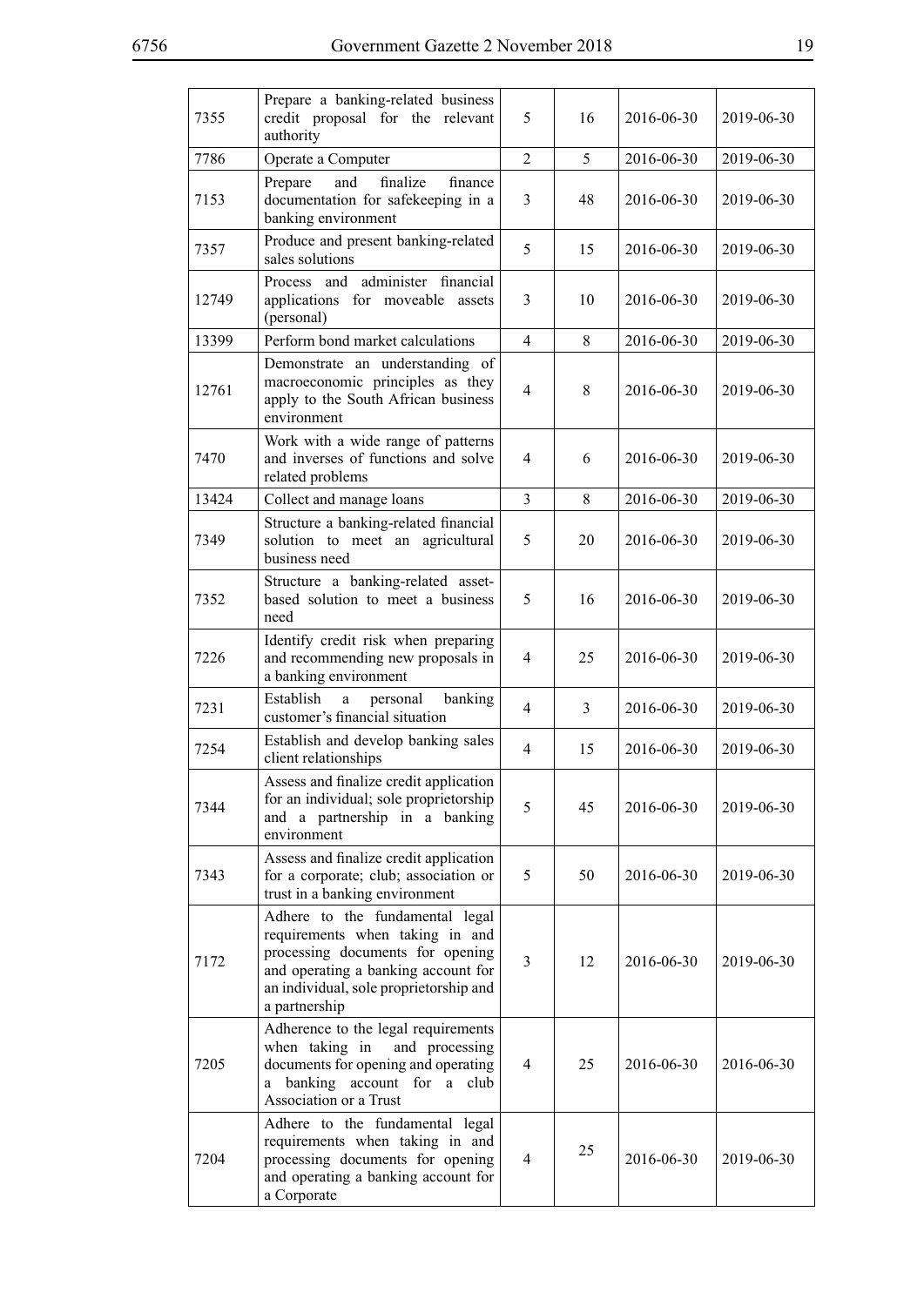| 7355  | Prepare a banking-related business<br>credit proposal for the relevant<br>authority                                                                                                                      | 5              | 16 | 2016-06-30 | 2019-06-30 |
|-------|----------------------------------------------------------------------------------------------------------------------------------------------------------------------------------------------------------|----------------|----|------------|------------|
| 7786  | Operate a Computer                                                                                                                                                                                       | $\overline{2}$ | 5  | 2016-06-30 | 2019-06-30 |
| 7153  | and<br>finalize<br>Prepare<br>finance<br>documentation for safekeeping in a<br>banking environment                                                                                                       | 3              | 48 | 2016-06-30 | 2019-06-30 |
| 7357  | Produce and present banking-related<br>sales solutions                                                                                                                                                   | 5              | 15 | 2016-06-30 | 2019-06-30 |
| 12749 | administer financial<br>Process and<br>applications for moveable assets<br>(personal)                                                                                                                    | 3              | 10 | 2016-06-30 | 2019-06-30 |
| 13399 | Perform bond market calculations                                                                                                                                                                         | $\overline{4}$ | 8  | 2016-06-30 | 2019-06-30 |
| 12761 | Demonstrate an understanding of<br>macroeconomic principles as they<br>apply to the South African business<br>environment                                                                                | $\overline{4}$ | 8  | 2016-06-30 | 2019-06-30 |
| 7470  | Work with a wide range of patterns<br>and inverses of functions and solve<br>related problems                                                                                                            | 4              | 6  | 2016-06-30 | 2019-06-30 |
| 13424 | Collect and manage loans                                                                                                                                                                                 | 3              | 8  | 2016-06-30 | 2019-06-30 |
| 7349  | Structure a banking-related financial<br>solution to meet an agricultural<br>business need                                                                                                               | 5              | 20 | 2016-06-30 | 2019-06-30 |
| 7352  | Structure a banking-related asset-<br>based solution to meet a business<br>need                                                                                                                          | 5              | 16 | 2016-06-30 | 2019-06-30 |
| 7226  | Identify credit risk when preparing<br>and recommending new proposals in<br>a banking environment                                                                                                        | $\overline{4}$ | 25 | 2016-06-30 | 2019-06-30 |
| 7231  | Establish<br>banking<br>a<br>personal<br>customer's financial situation                                                                                                                                  | 4              | 3  | 2016-06-30 | 2019-06-30 |
| 7254  | Establish and develop banking sales<br>client relationships                                                                                                                                              | $\overline{4}$ | 15 | 2016-06-30 | 2019-06-30 |
| 7344  | Assess and finalize credit application<br>for an individual; sole proprietorship<br>and a partnership in a banking<br>environment                                                                        | 5              | 45 | 2016-06-30 | 2019-06-30 |
| 7343  | Assess and finalize credit application<br>for a corporate; club; association or<br>trust in a banking environment                                                                                        | 5              | 50 | 2016-06-30 | 2019-06-30 |
| 7172  | Adhere to the fundamental legal<br>requirements when taking in and<br>processing documents for opening<br>and operating a banking account for<br>an individual, sole proprietorship and<br>a partnership | 3              | 12 | 2016-06-30 | 2019-06-30 |
| 7205  | Adherence to the legal requirements<br>and processing<br>when taking in<br>documents for opening and operating<br>banking account for a club<br>a<br>Association or a Trust                              | $\overline{4}$ | 25 | 2016-06-30 | 2016-06-30 |
| 7204  | Adhere to the fundamental legal<br>requirements when taking in and<br>processing documents for opening<br>and operating a banking account for<br>a Corporate                                             | $\overline{4}$ | 25 | 2016-06-30 | 2019-06-30 |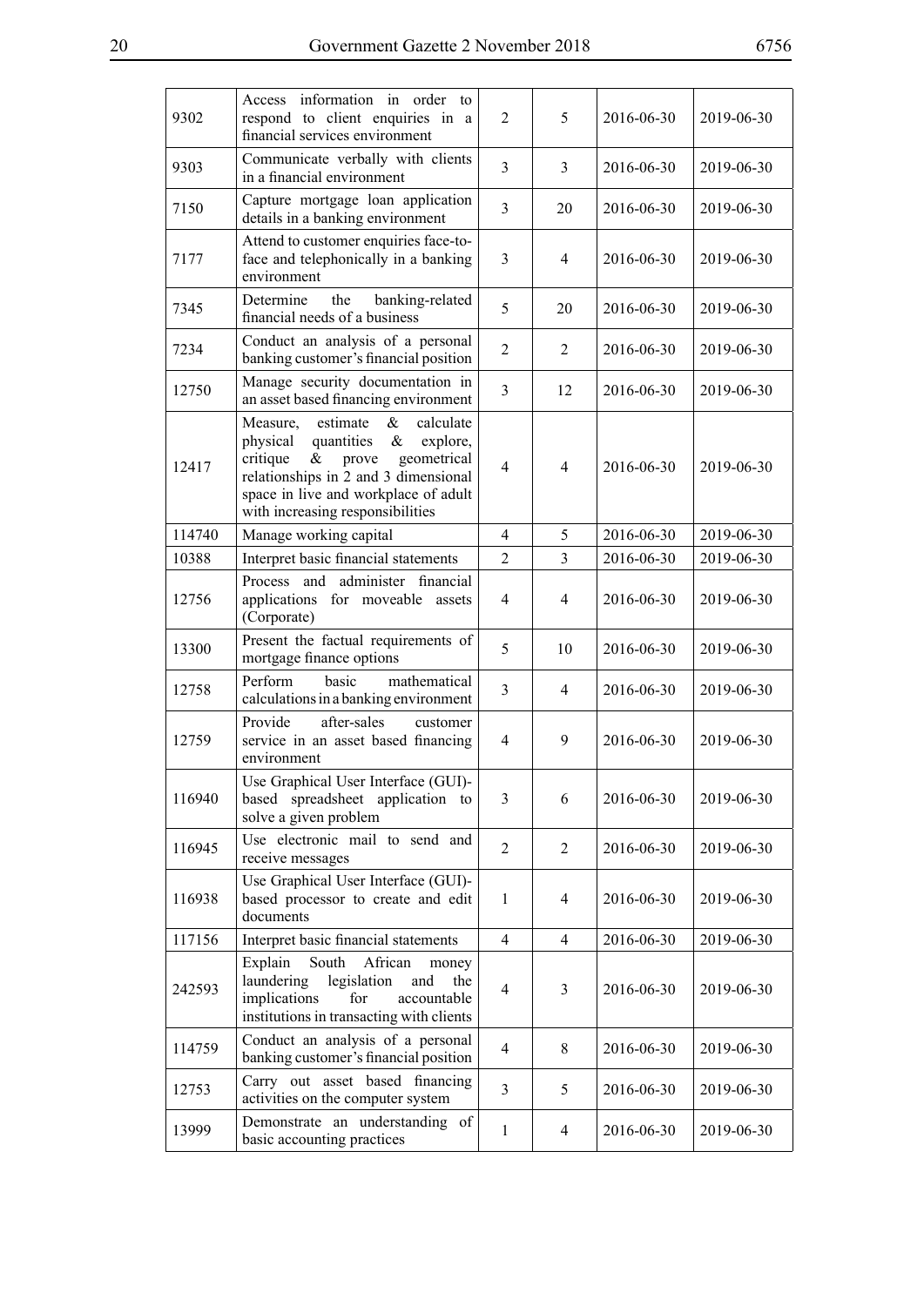| 9302   | Access information in order to<br>respond to client enquiries in a<br>financial services environment                                                                                                                                                    | 2              | 5              | 2016-06-30 | 2019-06-30 |
|--------|---------------------------------------------------------------------------------------------------------------------------------------------------------------------------------------------------------------------------------------------------------|----------------|----------------|------------|------------|
| 9303   | Communicate verbally with clients<br>in a financial environment                                                                                                                                                                                         | $\mathfrak{Z}$ | 3              | 2016-06-30 | 2019-06-30 |
| 7150   | Capture mortgage loan application<br>details in a banking environment                                                                                                                                                                                   | 3              | 20             | 2016-06-30 | 2019-06-30 |
| 7177   | Attend to customer enquiries face-to-<br>face and telephonically in a banking<br>environment                                                                                                                                                            | 3              | 4              | 2016-06-30 | 2019-06-30 |
| 7345   | the<br>banking-related<br>Determine<br>financial needs of a business                                                                                                                                                                                    | 5              | 20             | 2016-06-30 | 2019-06-30 |
| 7234   | Conduct an analysis of a personal<br>banking customer's financial position                                                                                                                                                                              | $\overline{2}$ | 2              | 2016-06-30 | 2019-06-30 |
| 12750  | Manage security documentation in<br>an asset based financing environment                                                                                                                                                                                | 3              | 12             | 2016-06-30 | 2019-06-30 |
| 12417  | estimate<br>$\&$<br>calculate<br>Measure,<br>quantities<br>$\&$<br>physical<br>explore,<br>critique<br>$\&$<br>geometrical<br>prove<br>relationships in 2 and 3 dimensional<br>space in live and workplace of adult<br>with increasing responsibilities | $\overline{4}$ | $\overline{4}$ | 2016-06-30 | 2019-06-30 |
| 114740 | Manage working capital                                                                                                                                                                                                                                  | 4              | 5              | 2016-06-30 | 2019-06-30 |
| 10388  | Interpret basic financial statements                                                                                                                                                                                                                    | $\overline{2}$ | 3              | 2016-06-30 | 2019-06-30 |
| 12756  | and administer financial<br><b>Process</b><br>applications for moveable assets<br>(Corporate)                                                                                                                                                           | 4              | $\overline{4}$ | 2016-06-30 | 2019-06-30 |
| 13300  | Present the factual requirements of<br>mortgage finance options                                                                                                                                                                                         | 5              | 10             | 2016-06-30 | 2019-06-30 |
| 12758  | Perform<br>mathematical<br>basic<br>calculations in a banking environment                                                                                                                                                                               | 3              | $\overline{4}$ | 2016-06-30 | 2019-06-30 |
| 12759  | Provide<br>after-sales<br>customer<br>service in an asset based financing<br>environment                                                                                                                                                                | 4              | 9              | 2016-06-30 | 2019-06-30 |
| 116940 | Use Graphical User Interface (GUI)-<br>based spreadsheet application to<br>solve a given problem                                                                                                                                                        | 3              | 6              | 2016-06-30 | 2019-06-30 |
| 116945 | Use electronic mail to send and<br>receive messages                                                                                                                                                                                                     | $\overline{2}$ | $\overline{2}$ | 2016-06-30 | 2019-06-30 |
| 116938 | Use Graphical User Interface (GUI)-<br>based processor to create and edit<br>documents                                                                                                                                                                  | 1              | $\overline{4}$ | 2016-06-30 | 2019-06-30 |
| 117156 | Interpret basic financial statements                                                                                                                                                                                                                    | 4              | $\overline{4}$ | 2016-06-30 | 2019-06-30 |
| 242593 | South<br>Explain<br>African<br>money<br>laundering<br>legislation<br>and<br>the<br>implications<br>accountable<br>for<br>institutions in transacting with clients                                                                                       | 4              | 3              | 2016-06-30 | 2019-06-30 |
| 114759 | Conduct an analysis of a personal<br>banking customer's financial position                                                                                                                                                                              | $\overline{4}$ | 8              | 2016-06-30 | 2019-06-30 |
| 12753  | Carry out asset based financing<br>activities on the computer system                                                                                                                                                                                    | 3              | 5              | 2016-06-30 | 2019-06-30 |
| 13999  | Demonstrate an understanding of<br>basic accounting practices                                                                                                                                                                                           | 1              | $\overline{4}$ | 2016-06-30 | 2019-06-30 |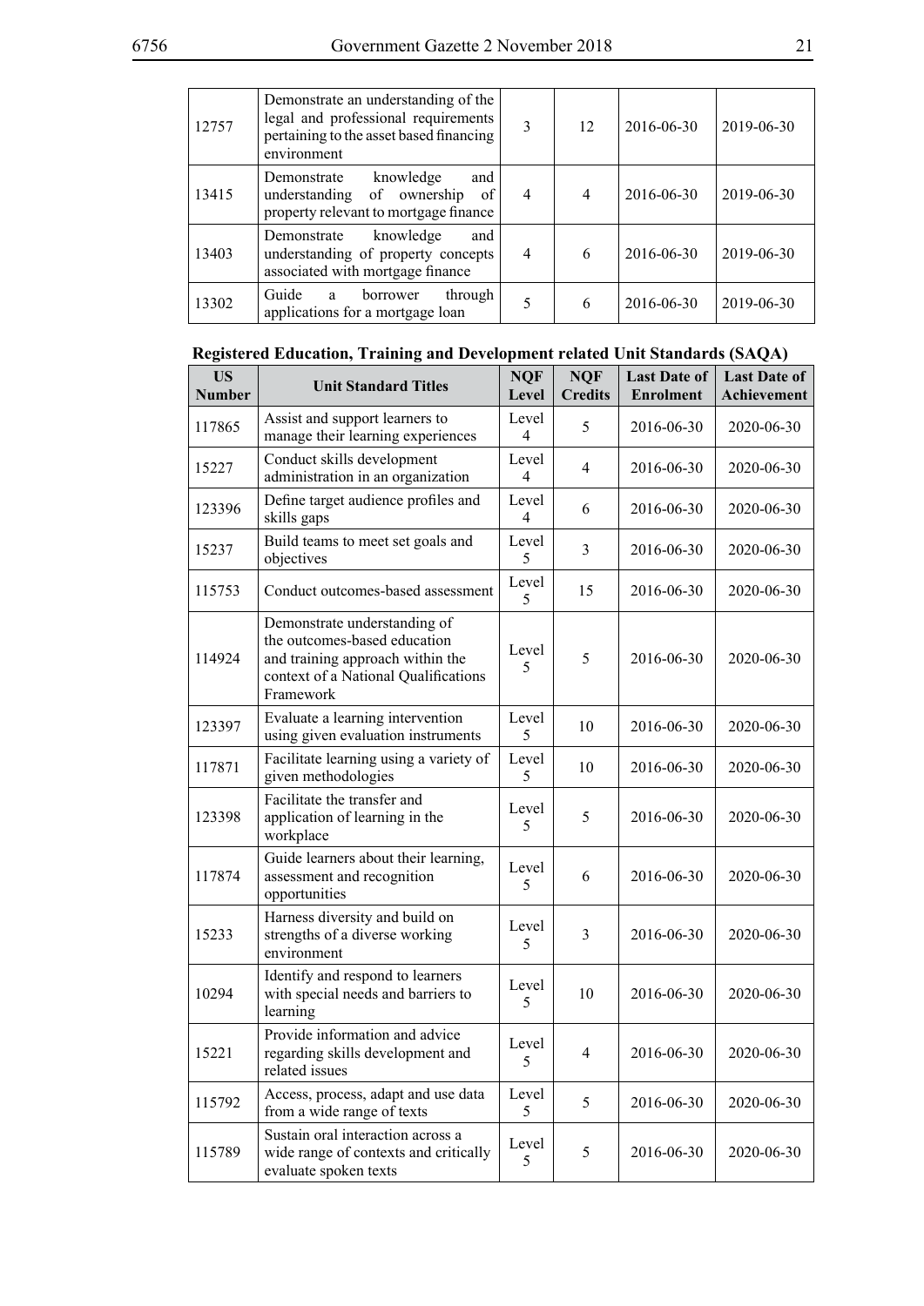| 12757 | Demonstrate an understanding of the<br>legal and professional requirements<br>pertaining to the asset based financing<br>environment | 3              | 12             | 2016-06-30 | 2019-06-30 |
|-------|--------------------------------------------------------------------------------------------------------------------------------------|----------------|----------------|------------|------------|
| 13415 | knowledge<br>Demonstrate<br>and<br>understanding of ownership<br>of<br>property relevant to mortgage finance                         | $\overline{4}$ | $\overline{4}$ | 2016-06-30 | 2019-06-30 |
| 13403 | knowledge<br>Demonstrate<br>and<br>understanding of property concepts<br>associated with mortgage finance                            | 4              | 6              | 2016-06-30 | 2019-06-30 |
| 13302 | Guide<br>through<br>borrower<br>a<br>applications for a mortgage loan                                                                | 5              | 6              | 2016-06-30 | 2019-06-30 |

| Registered Education, Training and Development related Unit Standards (SAQA) |  |  |
|------------------------------------------------------------------------------|--|--|
|                                                                              |  |  |

| <b>US</b><br><b>Number</b> | <b>Unit Standard Titles</b>                                                                                                                           | <b>NQF</b><br>Level | <b>NQF</b><br><b>Credits</b> | <b>Last Date of</b><br><b>Enrolment</b> | <b>Last Date of</b><br><b>Achievement</b> |
|----------------------------|-------------------------------------------------------------------------------------------------------------------------------------------------------|---------------------|------------------------------|-----------------------------------------|-------------------------------------------|
| 117865                     | Assist and support learners to<br>manage their learning experiences                                                                                   | Level<br>4          | 5                            | 2016-06-30                              | 2020-06-30                                |
| 15227                      | Conduct skills development<br>administration in an organization                                                                                       | Level<br>4          | 4                            | 2016-06-30                              | 2020-06-30                                |
| 123396                     | Define target audience profiles and<br>skills gaps                                                                                                    | Level<br>4          | 6                            | 2016-06-30                              | 2020-06-30                                |
| 15237                      | Build teams to meet set goals and<br>objectives                                                                                                       | Level<br>5          | 3                            | 2016-06-30                              | 2020-06-30                                |
| 115753                     | Conduct outcomes-based assessment                                                                                                                     | Level<br>5          | 15                           | 2016-06-30                              | 2020-06-30                                |
| 114924                     | Demonstrate understanding of<br>the outcomes-based education<br>and training approach within the<br>context of a National Qualifications<br>Framework | Level<br>5          | 5                            | 2016-06-30                              | 2020-06-30                                |
| 123397                     | Evaluate a learning intervention<br>using given evaluation instruments                                                                                | Level<br>5          | 10                           | 2016-06-30                              | 2020-06-30                                |
| 117871                     | Facilitate learning using a variety of<br>given methodologies                                                                                         | Level<br>5          | 10                           | 2016-06-30                              | 2020-06-30                                |
| 123398                     | Facilitate the transfer and<br>application of learning in the<br>workplace                                                                            | Level<br>5          | 5                            | 2016-06-30                              | 2020-06-30                                |
| 117874                     | Guide learners about their learning,<br>assessment and recognition<br>opportunities                                                                   | Level<br>5          | 6                            | 2016-06-30                              | 2020-06-30                                |
| 15233                      | Harness diversity and build on<br>strengths of a diverse working<br>environment                                                                       | Level<br>5          | 3                            | 2016-06-30                              | 2020-06-30                                |
| 10294                      | Identify and respond to learners<br>with special needs and barriers to<br>learning                                                                    | Level<br>5          | 10                           | 2016-06-30                              | 2020-06-30                                |
| 15221                      | Provide information and advice<br>regarding skills development and<br>related issues                                                                  | Level<br>5          | 4                            | 2016-06-30                              | 2020-06-30                                |
| 115792                     | Access, process, adapt and use data<br>from a wide range of texts                                                                                     | Level<br>5          | 5                            | 2016-06-30                              | 2020-06-30                                |
| 115789                     | Sustain oral interaction across a<br>wide range of contexts and critically<br>evaluate spoken texts                                                   | Level<br>5          | 5                            | 2016-06-30                              | 2020-06-30                                |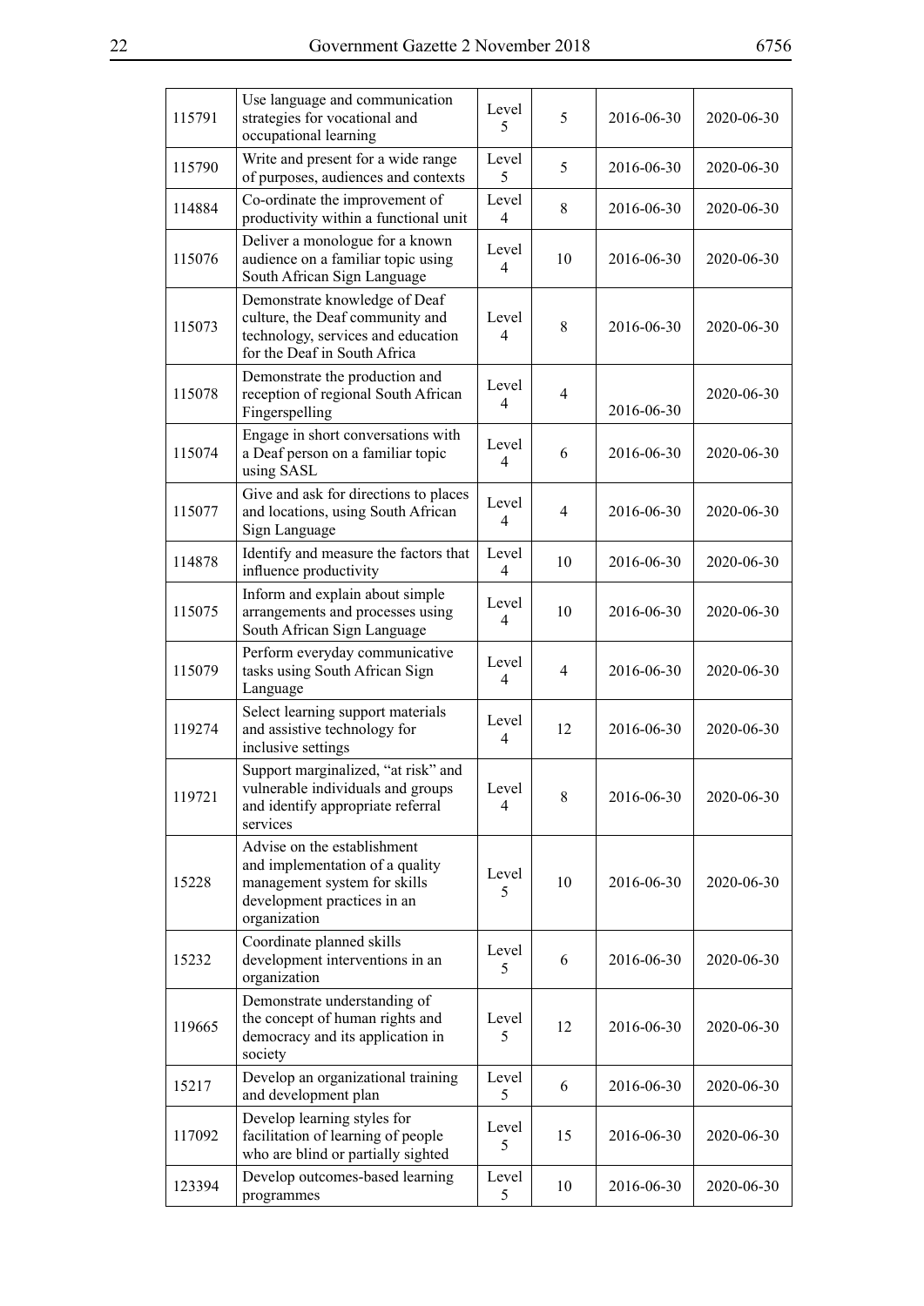| 115791 | Use language and communication<br>strategies for vocational and<br>occupational learning                                                      | Level<br>5              | 5              | 2016-06-30 | 2020-06-30 |
|--------|-----------------------------------------------------------------------------------------------------------------------------------------------|-------------------------|----------------|------------|------------|
| 115790 | Write and present for a wide range<br>of purposes, audiences and contexts                                                                     | Level<br>5              | 5              | 2016-06-30 | 2020-06-30 |
| 114884 | Co-ordinate the improvement of<br>productivity within a functional unit                                                                       | Level<br>$\overline{4}$ | 8              | 2016-06-30 | 2020-06-30 |
| 115076 | Deliver a monologue for a known<br>audience on a familiar topic using<br>South African Sign Language                                          | Level<br>4              | 10             | 2016-06-30 | 2020-06-30 |
| 115073 | Demonstrate knowledge of Deaf<br>culture, the Deaf community and<br>technology, services and education<br>for the Deaf in South Africa        | Level<br>4              | 8              | 2016-06-30 | 2020-06-30 |
| 115078 | Demonstrate the production and<br>reception of regional South African<br>Fingerspelling                                                       | Level<br>4              | $\overline{4}$ | 2016-06-30 | 2020-06-30 |
| 115074 | Engage in short conversations with<br>a Deaf person on a familiar topic<br>using SASL                                                         | Level<br>4              | 6              | 2016-06-30 | 2020-06-30 |
| 115077 | Give and ask for directions to places<br>and locations, using South African<br>Sign Language                                                  | Level<br>4              | 4              | 2016-06-30 | 2020-06-30 |
| 114878 | Identify and measure the factors that<br>influence productivity                                                                               | Level<br>4              | 10             | 2016-06-30 | 2020-06-30 |
| 115075 | Inform and explain about simple<br>arrangements and processes using<br>South African Sign Language                                            | Level<br>4              | 10             | 2016-06-30 | 2020-06-30 |
| 115079 | Perform everyday communicative<br>tasks using South African Sign<br>Language                                                                  | Level<br>4              | $\overline{4}$ | 2016-06-30 | 2020-06-30 |
| 119274 | Select learning support materials<br>and assistive technology for<br>inclusive settings                                                       | Level<br>4              | 12             | 2016-06-30 | 2020-06-30 |
| 119721 | Support marginalized, "at risk" and<br>vulnerable individuals and groups<br>and identify appropriate referral<br>services                     | Level<br>4              | 8              | 2016-06-30 | 2020-06-30 |
| 15228  | Advise on the establishment<br>and implementation of a quality<br>management system for skills<br>development practices in an<br>organization | Level<br>5              | 10             | 2016-06-30 | 2020-06-30 |
| 15232  | Coordinate planned skills<br>development interventions in an<br>organization                                                                  | Level<br>5              | 6              | 2016-06-30 | 2020-06-30 |
| 119665 | Demonstrate understanding of<br>the concept of human rights and<br>democracy and its application in<br>society                                | Level<br>5              | 12             | 2016-06-30 | 2020-06-30 |
| 15217  | Develop an organizational training<br>and development plan                                                                                    | Level<br>5              | 6              | 2016-06-30 | 2020-06-30 |
| 117092 | Develop learning styles for<br>facilitation of learning of people<br>who are blind or partially sighted                                       | Level<br>5              | 15             | 2016-06-30 | 2020-06-30 |
| 123394 | Develop outcomes-based learning<br>programmes                                                                                                 | Level<br>5              | 10             | 2016-06-30 | 2020-06-30 |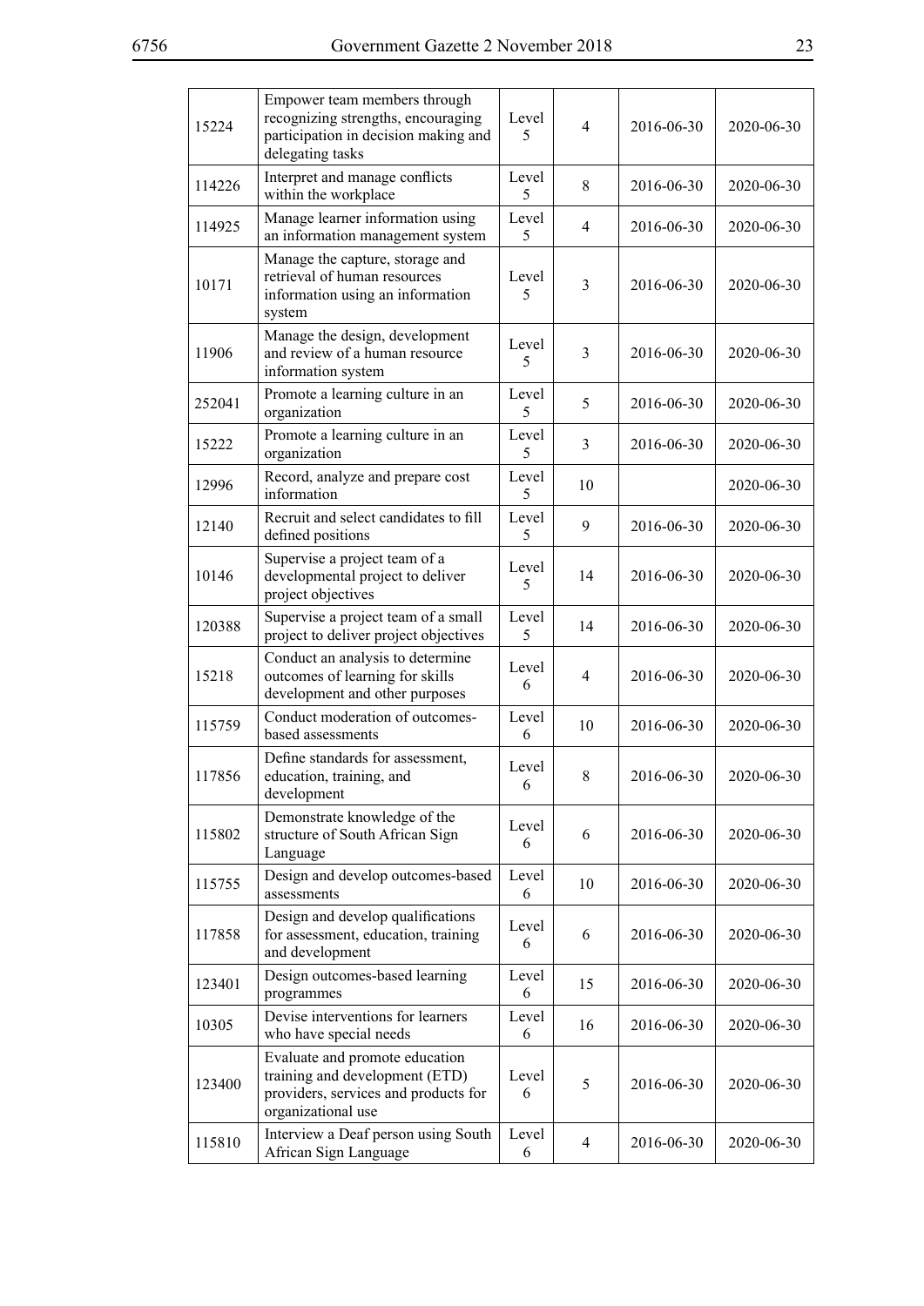| 15224  | Empower team members through<br>recognizing strengths, encouraging<br>participation in decision making and<br>delegating tasks | Level<br>5 | $\overline{4}$ | 2016-06-30 | 2020-06-30 |
|--------|--------------------------------------------------------------------------------------------------------------------------------|------------|----------------|------------|------------|
| 114226 | Interpret and manage conflicts<br>within the workplace                                                                         | Level<br>5 | 8              | 2016-06-30 | 2020-06-30 |
| 114925 | Manage learner information using<br>an information management system                                                           | Level<br>5 | 4              | 2016-06-30 | 2020-06-30 |
| 10171  | Manage the capture, storage and<br>retrieval of human resources<br>information using an information<br>system                  | Level<br>5 | $\overline{3}$ | 2016-06-30 | 2020-06-30 |
| 11906  | Manage the design, development<br>and review of a human resource<br>information system                                         | Level<br>5 | 3              | 2016-06-30 | 2020-06-30 |
| 252041 | Promote a learning culture in an<br>organization                                                                               | Level<br>5 | 5              | 2016-06-30 | 2020-06-30 |
| 15222  | Promote a learning culture in an<br>organization                                                                               | Level<br>5 | $\overline{3}$ | 2016-06-30 | 2020-06-30 |
| 12996  | Record, analyze and prepare cost<br>information                                                                                | Level<br>5 | 10             |            | 2020-06-30 |
| 12140  | Recruit and select candidates to fill<br>defined positions                                                                     | Level<br>5 | 9              | 2016-06-30 | 2020-06-30 |
| 10146  | Supervise a project team of a<br>developmental project to deliver<br>project objectives                                        | Level<br>5 | 14             | 2016-06-30 | 2020-06-30 |
| 120388 | Supervise a project team of a small<br>project to deliver project objectives                                                   | Level<br>5 | 14             | 2016-06-30 | 2020-06-30 |
| 15218  | Conduct an analysis to determine<br>outcomes of learning for skills<br>development and other purposes                          | Level<br>6 | 4              | 2016-06-30 | 2020-06-30 |
| 115759 | Conduct moderation of outcomes-<br>based assessments                                                                           | Level<br>6 | 10             | 2016-06-30 | 2020-06-30 |
| 117856 | Define standards for assessment,<br>education, training, and<br>development                                                    | Level<br>6 | 8              | 2016-06-30 | 2020-06-30 |
| 115802 | Demonstrate knowledge of the<br>structure of South African Sign<br>Language                                                    | Level<br>6 | 6              | 2016-06-30 | 2020-06-30 |
| 115755 | Design and develop outcomes-based<br>assessments                                                                               | Level<br>6 | 10             | 2016-06-30 | 2020-06-30 |
| 117858 | Design and develop qualifications<br>for assessment, education, training<br>and development                                    | Level<br>6 | 6              | 2016-06-30 | 2020-06-30 |
| 123401 | Design outcomes-based learning<br>programmes                                                                                   | Level<br>6 | 15             | 2016-06-30 | 2020-06-30 |
| 10305  | Devise interventions for learners<br>who have special needs                                                                    | Level<br>6 | 16             | 2016-06-30 | 2020-06-30 |
| 123400 | Evaluate and promote education<br>training and development (ETD)<br>providers, services and products for<br>organizational use | Level<br>6 | 5              | 2016-06-30 | 2020-06-30 |
| 115810 | Interview a Deaf person using South<br>African Sign Language                                                                   | Level<br>6 | $\overline{4}$ | 2016-06-30 | 2020-06-30 |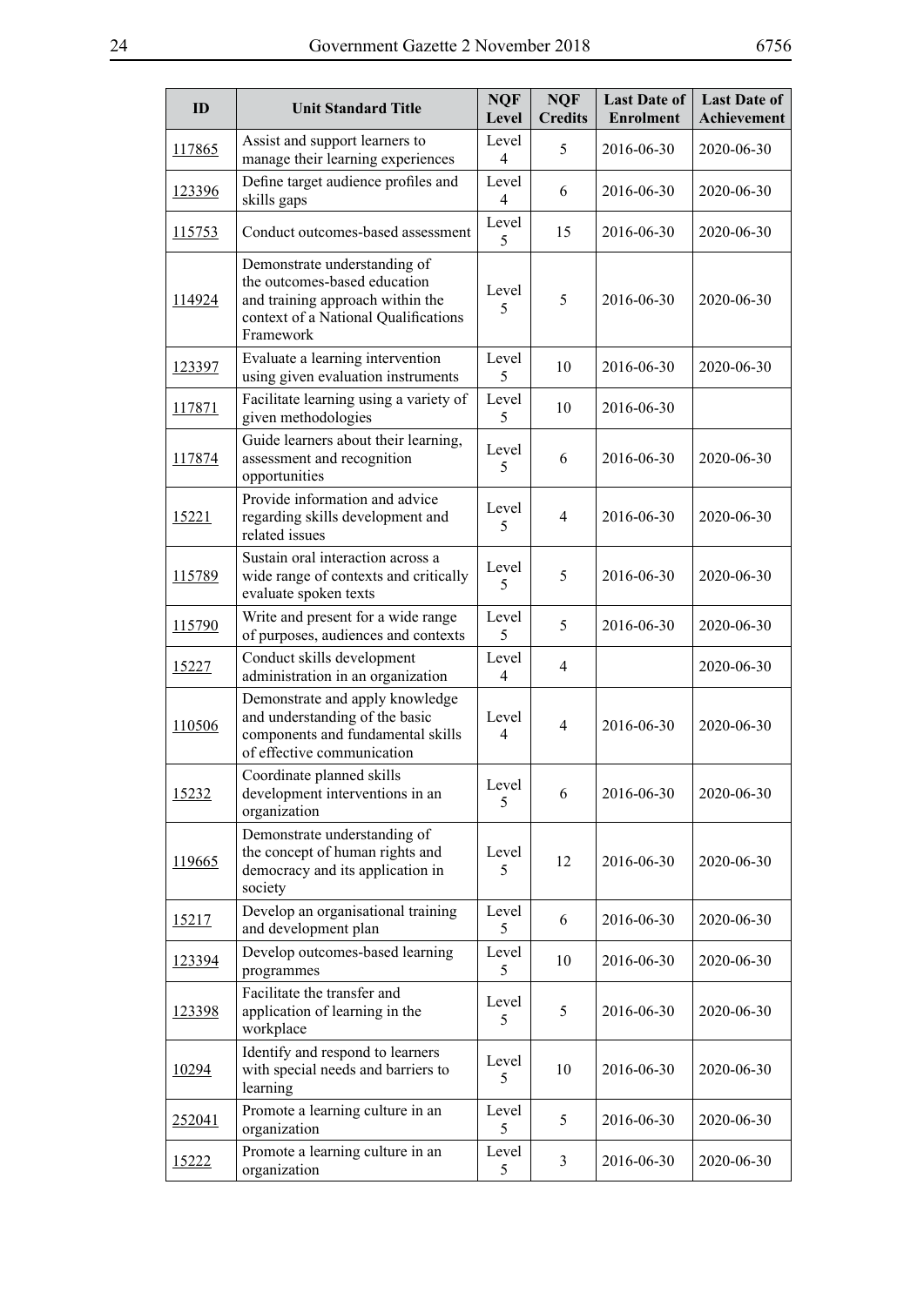| ID            | <b>Unit Standard Title</b>                                                                                                                            | <b>NQF</b><br>Level     | <b>NQF</b><br><b>Credits</b> | <b>Last Date of</b><br><b>Enrolment</b> | <b>Last Date of</b><br>Achievement |
|---------------|-------------------------------------------------------------------------------------------------------------------------------------------------------|-------------------------|------------------------------|-----------------------------------------|------------------------------------|
| 117865        | Assist and support learners to<br>manage their learning experiences                                                                                   | Level<br>4              | 5                            | 2016-06-30                              | 2020-06-30                         |
| 123396        | Define target audience profiles and<br>skills gaps                                                                                                    | Level<br>4              | 6                            | 2016-06-30                              | 2020-06-30                         |
| <u>115753</u> | Conduct outcomes-based assessment                                                                                                                     | Level<br>5              | 15                           | 2016-06-30                              | 2020-06-30                         |
| 114924        | Demonstrate understanding of<br>the outcomes-based education<br>and training approach within the<br>context of a National Qualifications<br>Framework | Level<br>5              | 5                            | 2016-06-30                              | 2020-06-30                         |
| 123397        | Evaluate a learning intervention<br>using given evaluation instruments                                                                                | Level<br>5              | 10                           | 2016-06-30                              | 2020-06-30                         |
| 117871        | Facilitate learning using a variety of<br>given methodologies                                                                                         | Level<br>5              | 10                           | 2016-06-30                              |                                    |
| 117874        | Guide learners about their learning,<br>assessment and recognition<br>opportunities                                                                   | Level<br>5              | 6                            | 2016-06-30                              | 2020-06-30                         |
| 15221         | Provide information and advice<br>regarding skills development and<br>related issues                                                                  | Level<br>5              | $\overline{4}$               | 2016-06-30                              | 2020-06-30                         |
| 115789        | Sustain oral interaction across a<br>wide range of contexts and critically<br>evaluate spoken texts                                                   | Level<br>5              | 5                            | 2016-06-30                              | 2020-06-30                         |
| 115790        | Write and present for a wide range<br>of purposes, audiences and contexts                                                                             | Level<br>5              | 5                            | 2016-06-30                              | 2020-06-30                         |
| 15227         | Conduct skills development<br>administration in an organization                                                                                       | Level<br>4              | $\overline{4}$               |                                         | 2020-06-30                         |
| 110506        | Demonstrate and apply knowledge<br>and understanding of the basic<br>components and fundamental skills<br>of effective communication                  | Level<br>$\overline{4}$ | $\overline{4}$               | 2016-06-30                              | 2020-06-30                         |
| 15232         | Coordinate planned skills<br>development interventions in an<br>organization                                                                          | Level<br>5              | 6                            | 2016-06-30                              | 2020-06-30                         |
| 119665        | Demonstrate understanding of<br>the concept of human rights and<br>democracy and its application in<br>society                                        | Level<br>5              | 12                           | 2016-06-30                              | 2020-06-30                         |
| <u>15217</u>  | Develop an organisational training<br>and development plan                                                                                            | Level<br>5              | 6                            | 2016-06-30                              | 2020-06-30                         |
| 123394        | Develop outcomes-based learning<br>programmes                                                                                                         | Level<br>5              | 10                           | 2016-06-30                              | 2020-06-30                         |
| 123398        | Facilitate the transfer and<br>application of learning in the<br>workplace                                                                            | Level<br>5              | 5                            | 2016-06-30                              | 2020-06-30                         |
| 10294         | Identify and respond to learners<br>with special needs and barriers to<br>learning                                                                    | Level<br>5              | 10                           | 2016-06-30                              | 2020-06-30                         |
| 252041        | Promote a learning culture in an<br>organization                                                                                                      | Level<br>5              | 5                            | 2016-06-30                              | 2020-06-30                         |
| 15222         | Promote a learning culture in an<br>organization                                                                                                      | Level<br>5              | 3                            | 2016-06-30                              | 2020-06-30                         |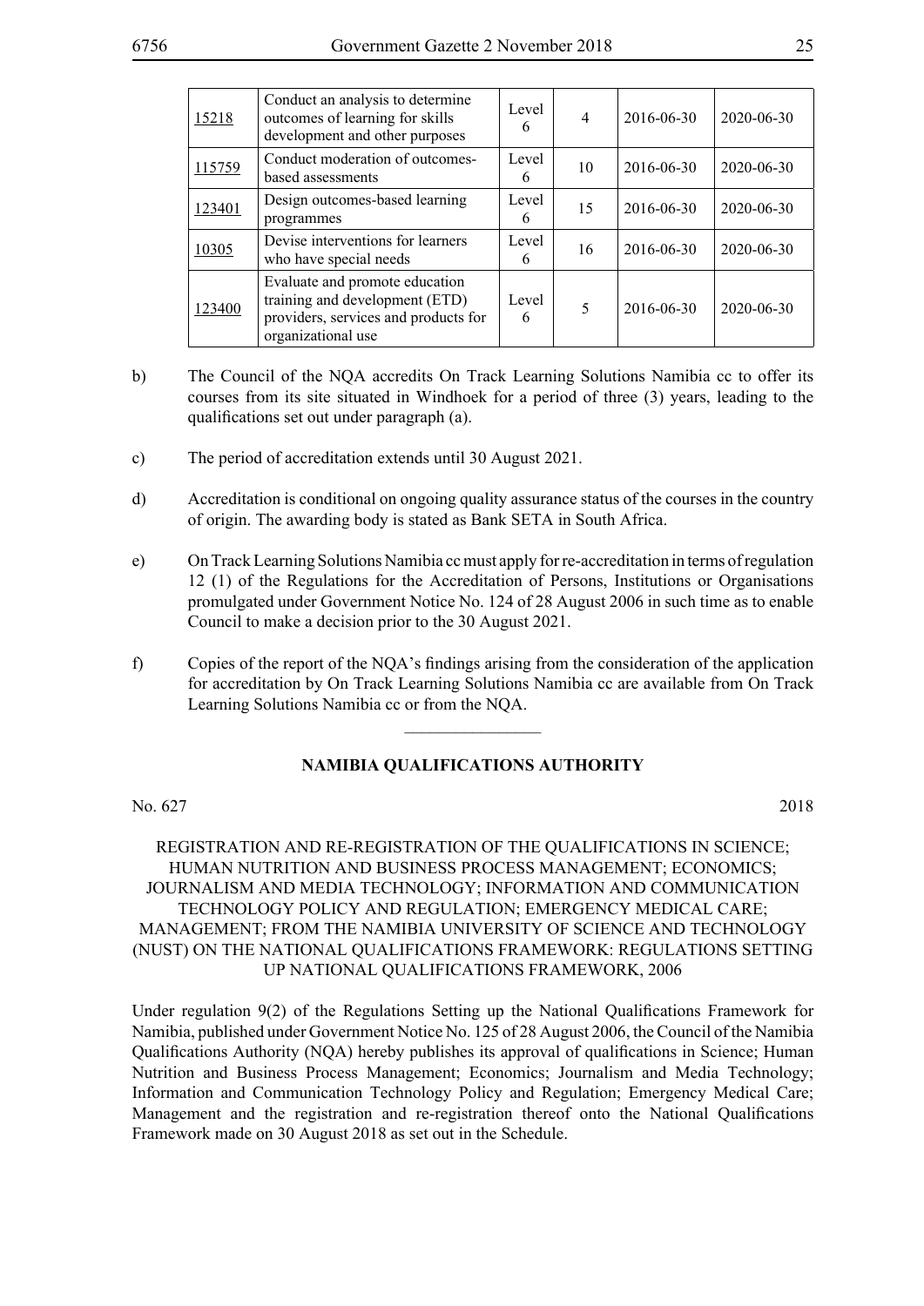| <u>15218</u> | Conduct an analysis to determine<br>outcomes of learning for skills<br>development and other purposes                          | Level<br>6 | $\overline{4}$ | 2016-06-30 | $2020 - 06 - 30$ |
|--------------|--------------------------------------------------------------------------------------------------------------------------------|------------|----------------|------------|------------------|
| 115759       | Conduct moderation of outcomes-<br>based assessments                                                                           | Level<br>6 | 10             | 2016-06-30 | $2020 - 06 - 30$ |
| 123401       | Design outcomes-based learning<br>programmes                                                                                   | Level<br>6 | 15             | 2016-06-30 | 2020-06-30       |
| 10305        | Devise interventions for learners<br>who have special needs                                                                    | Level<br>6 | 16             | 2016-06-30 | $2020 - 06 - 30$ |
| 123400       | Evaluate and promote education<br>training and development (ETD)<br>providers, services and products for<br>organizational use | Level<br>6 | 5              | 2016-06-30 | 2020-06-30       |

- b) The Council of the NQA accredits On Track Learning Solutions Namibia cc to offer its courses from its site situated in Windhoek for a period of three (3) years, leading to the qualifications set out under paragraph (a).
- c) The period of accreditation extends until 30 August 2021.
- d) Accreditation is conditional on ongoing quality assurance status of the courses in the country of origin. The awarding body is stated as Bank SETA in South Africa.
- e) On Track Learning Solutions Namibia cc must apply for re-accreditation in terms of regulation 12 (1) of the Regulations for the Accreditation of Persons, Institutions or Organisations promulgated under Government Notice No. 124 of 28 August 2006 in such time as to enable Council to make a decision prior to the 30 August 2021.
- f) Copies of the report of the NQA's findings arising from the consideration of the application for accreditation by On Track Learning Solutions Namibia cc are available from On Track Learning Solutions Namibia cc or from the NQA.

 $\frac{1}{2}$ 

#### **NAMIBIA QUALIFICATIONS AUTHORITY**

No. 627 2018

## REGISTRATION AND RE-REGISTRATION OF THE QUALIFICATIONS IN SCIENCE; HUMAN NUTRITION AND BUSINESS PROCESS MANAGEMENT; ECONOMICS; JOURNALISM AND MEDIA TECHNOLOGY; INFORMATION AND COMMUNICATION TECHNOLOGY POLICY AND REGULATION; EMERGENCY MEDICAL CARE; MANAGEMENT; FROM THE NAMIBIA UNIVERSITY OF SCIENCE AND TECHNOLOGY (NUST) ON THE NATIONAL QUALIFICATIONS FRAMEWORK: REGULATIONS SETTING UP NATIONAL QUALIFICATIONS FRAMEWORK, 2006

Under regulation 9(2) of the Regulations Setting up the National Qualifications Framework for Namibia, published under Government Notice No. 125 of 28 August 2006, the Council of the Namibia Qualifications Authority (NQA) hereby publishes its approval of qualifications in Science; Human Nutrition and Business Process Management; Economics; Journalism and Media Technology; Information and Communication Technology Policy and Regulation; Emergency Medical Care; Management and the registration and re-registration thereof onto the National Qualifications Framework made on 30 August 2018 as set out in the Schedule.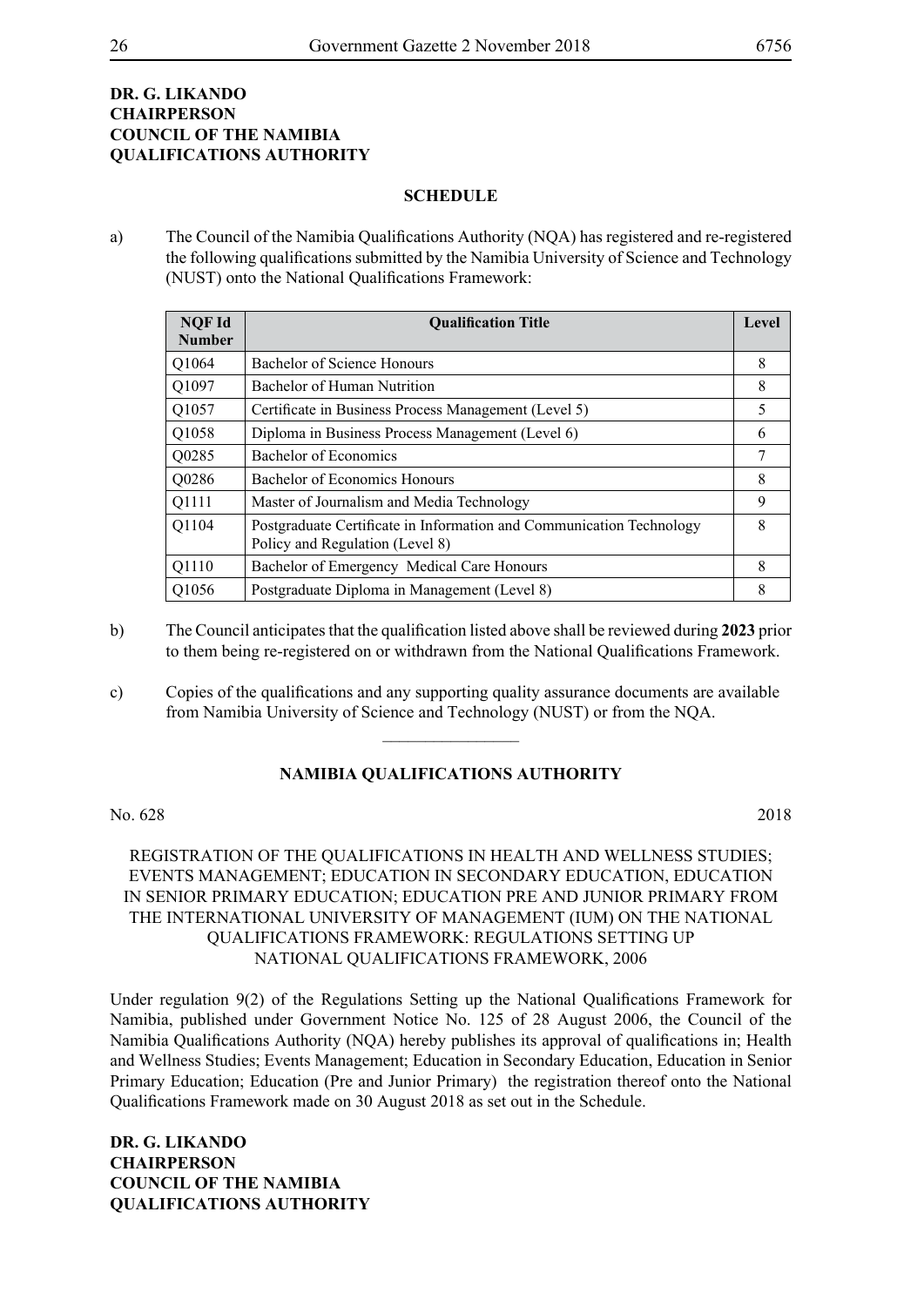## **Dr. G. Likando Chairperson COUNCIL OF THE NAMIBIA QUALIFICATIONS AUTHORITY**

#### **SCHEDULE**

a) The Council of the Namibia Qualifications Authority (NQA) has registered and re-registered the following qualifications submitted by the Namibia University of Science and Technology (NUST) onto the National Qualifications Framework:

| <b>NQF Id</b>     | <b>Oualification Title</b>                                                                              |   |
|-------------------|---------------------------------------------------------------------------------------------------------|---|
| <b>Number</b>     |                                                                                                         |   |
| O <sub>1064</sub> | Bachelor of Science Honours                                                                             | 8 |
| Q1097             | Bachelor of Human Nutrition                                                                             | 8 |
| Q1057             | Certificate in Business Process Management (Level 5)                                                    | 5 |
| Q1058             | Diploma in Business Process Management (Level 6)                                                        | 6 |
| Q0285             | Bachelor of Economics                                                                                   | 7 |
| Q0286             | Bachelor of Economics Honours                                                                           | 8 |
| Q1111             | Master of Journalism and Media Technology                                                               | 9 |
| Q1104             | Postgraduate Certificate in Information and Communication Technology<br>Policy and Regulation (Level 8) | 8 |
| Q1110             | Bachelor of Emergency Medical Care Honours                                                              | 8 |
| Q1056             | Postgraduate Diploma in Management (Level 8)                                                            | 8 |

- b) The Council anticipates that the qualification listed above shall be reviewed during **2023** prior to them being re-registered on or withdrawn from the National Qualifications Framework.
- c) Copies of the qualifications and any supporting quality assurance documents are available from Namibia University of Science and Technology (NUST) or from the NQA.

## **NAMIBIA QUALIFICATIONS AUTHORITY**

 $\overline{\phantom{a}}$  , where  $\overline{\phantom{a}}$ 

No. 628 2018

REGISTRATION OF THE QUALIFICATIONS IN HEALTH AND WELLNESS STUDIES; EVENTS MANAGEMENT; EDUCATION IN SECONDARY EDUCATION, EDUCATION IN SENIOR PRIMARY EDUCATION; EDUCATION PRE AND JUNIOR PRIMARY FROM THE INTERNATIONAL UNIVERSITY OF MANAGEMENT (IUM) ON THE NATIONAL QUALIFICATIONS FRAMEWORK: REGULATIONS SETTING UP NATIONAL QUALIFICATIONS FRAMEWORK, 2006

Under regulation 9(2) of the Regulations Setting up the National Qualifications Framework for Namibia, published under Government Notice No. 125 of 28 August 2006, the Council of the Namibia Qualifications Authority (NQA) hereby publishes its approval of qualifications in; Health and Wellness Studies; Events Management; Education in Secondary Education, Education in Senior Primary Education; Education (Pre and Junior Primary) the registration thereof onto the National Qualifications Framework made on 30 August 2018 as set out in the Schedule.

**Dr. G. Likando Chairperson COUNCIL OF THE NAMIBIA QUALIFICATIONS AUTHORITY**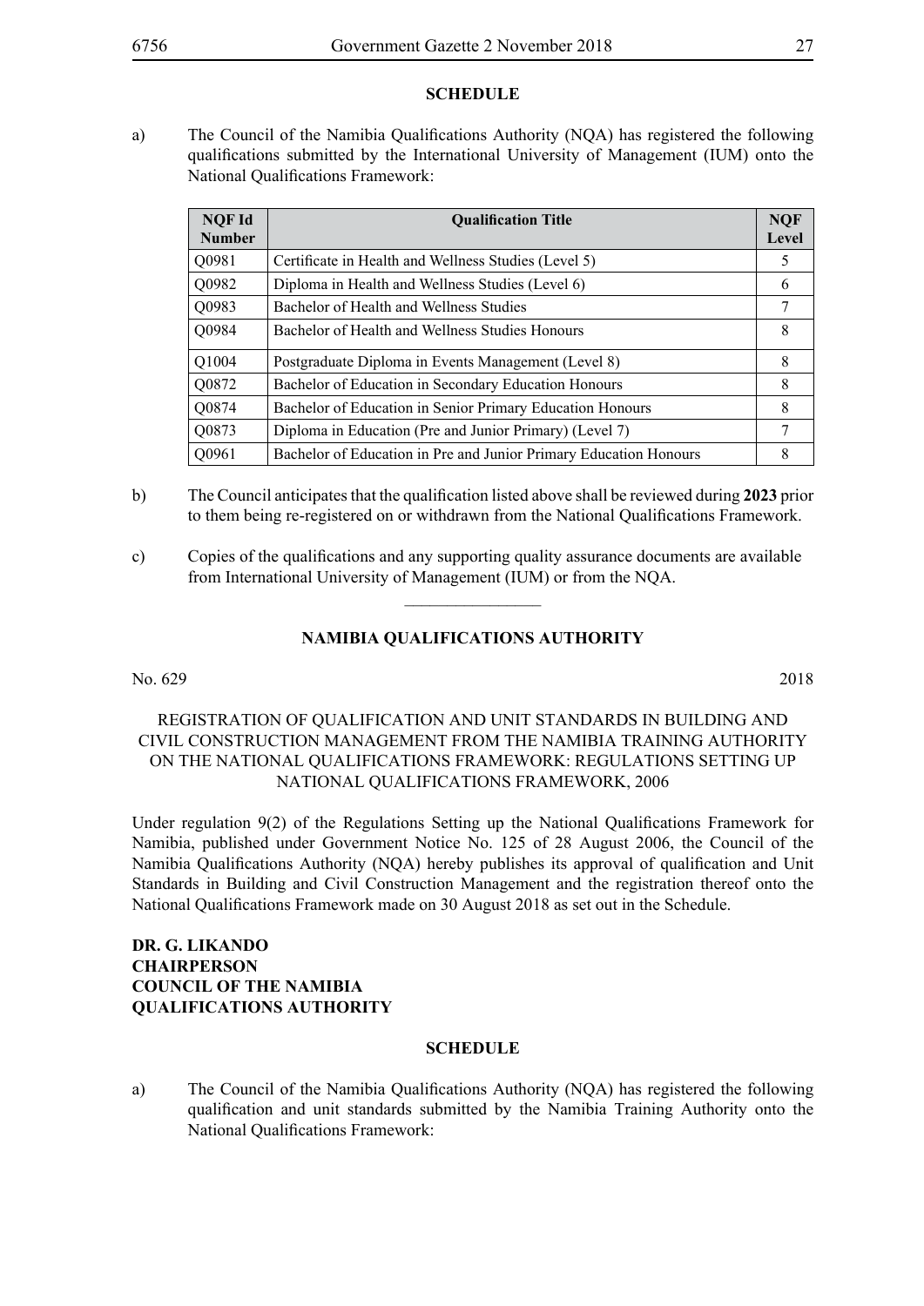#### **SCHEDULE**

a) The Council of the Namibia Qualifications Authority (NQA) has registered the following qualifications submitted by the International University of Management (IUM) onto the National Qualifications Framework:

| <b>NOF Id</b><br><b>Number</b> | <b>Oualification Title</b>                                        |   |
|--------------------------------|-------------------------------------------------------------------|---|
| Q0981                          | Certificate in Health and Wellness Studies (Level 5)              | 5 |
| Q0982                          | Diploma in Health and Wellness Studies (Level 6)                  | 6 |
| Q0983                          | Bachelor of Health and Wellness Studies                           | 7 |
| Q0984                          | Bachelor of Health and Wellness Studies Honours                   | 8 |
| Q1004                          | Postgraduate Diploma in Events Management (Level 8)               | 8 |
| Q0872                          | Bachelor of Education in Secondary Education Honours              | 8 |
| Q0874                          | Bachelor of Education in Senior Primary Education Honours         | 8 |
| Q0873                          | Diploma in Education (Pre and Junior Primary) (Level 7)           | 7 |
| Q0961                          | Bachelor of Education in Pre and Junior Primary Education Honours | 8 |

- b) The Council anticipates that the qualification listed above shall be reviewed during **2023** prior to them being re-registered on or withdrawn from the National Qualifications Framework.
- c) Copies of the qualifications and any supporting quality assurance documents are available from International University of Management (IUM) or from the NQA.

## **NAMIBIA QUALIFICATIONS AUTHORITY**

 $\overline{\phantom{a}}$  , where  $\overline{\phantom{a}}$ 

No. 629 2018

## REGISTRATION OF QUALIFICATION AND UNIT STANDARDS IN BUILDING AND CIVIL CONSTRUCTION MANAGEMENT FROM THE NAMIBIA TRAINING AUTHORITY ON THE NATIONAL QUALIFICATIONS FRAMEWORK: REGULATIONS SETTING UP NATIONAL QUALIFICATIONS FRAMEWORK, 2006

Under regulation 9(2) of the Regulations Setting up the National Qualifications Framework for Namibia, published under Government Notice No. 125 of 28 August 2006, the Council of the Namibia Qualifications Authority (NQA) hereby publishes its approval of qualification and Unit Standards in Building and Civil Construction Management and the registration thereof onto the National Qualifications Framework made on 30 August 2018 as set out in the Schedule.

## **Dr. G. Likando Chairperson COUNCIL OF THE NAMIBIA QUALIFICATIONS AUTHORITY**

#### **SCHEDULE**

a) The Council of the Namibia Qualifications Authority (NQA) has registered the following qualification and unit standards submitted by the Namibia Training Authority onto the National Qualifications Framework: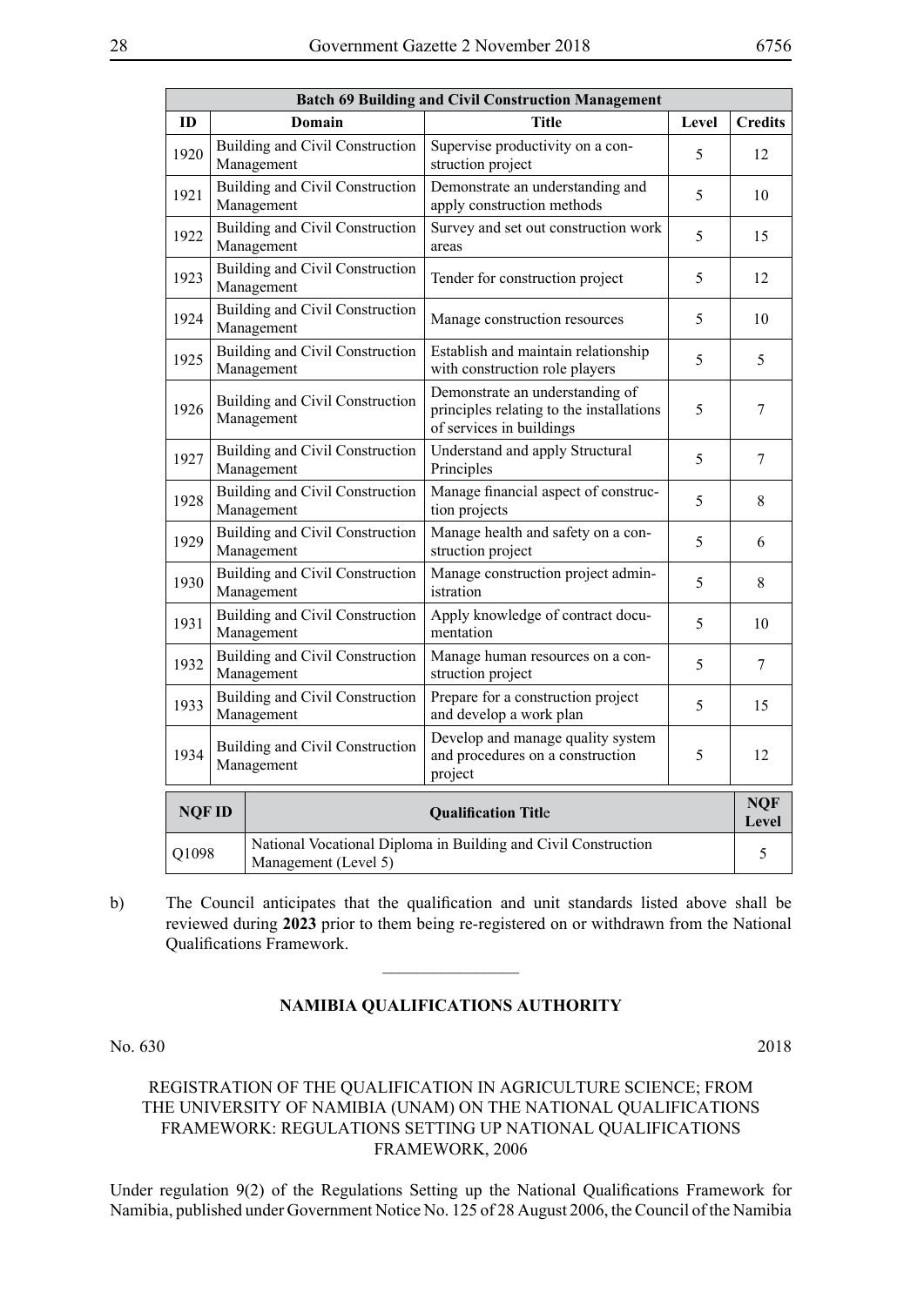| <b>Batch 69 Building and Civil Construction Management</b> |                                                                                                 |                                                                                                                 |                                                                                                         |    |                     |
|------------------------------------------------------------|-------------------------------------------------------------------------------------------------|-----------------------------------------------------------------------------------------------------------------|---------------------------------------------------------------------------------------------------------|----|---------------------|
| ID                                                         |                                                                                                 | Domain                                                                                                          | <b>Title</b><br>Level                                                                                   |    | <b>Credits</b>      |
| 1920                                                       |                                                                                                 | Building and Civil Construction<br>Management                                                                   | Supervise productivity on a con-<br>struction project                                                   | 5  | 12                  |
| 1921                                                       |                                                                                                 | Building and Civil Construction<br>Demonstrate an understanding and<br>apply construction methods<br>Management |                                                                                                         | 5  | 10                  |
| 1922                                                       |                                                                                                 | Building and Civil Construction<br>Management                                                                   | Survey and set out construction work<br>areas                                                           | 5  | 15                  |
| 1923                                                       | <b>Building and Civil Construction</b><br>Tender for construction project<br>Management         |                                                                                                                 | 5                                                                                                       | 12 |                     |
| 1924                                                       |                                                                                                 | Building and Civil Construction<br>Manage construction resources<br>Management                                  |                                                                                                         | 5  | 10                  |
| 1925                                                       | Building and Civil Construction<br>Management                                                   |                                                                                                                 | Establish and maintain relationship<br>with construction role players                                   | 5  | 5                   |
| 1926                                                       | Building and Civil Construction<br>Management                                                   |                                                                                                                 | Demonstrate an understanding of<br>principles relating to the installations<br>of services in buildings | 5  | 7                   |
| 1927                                                       | Building and Civil Construction<br>Management                                                   |                                                                                                                 | Understand and apply Structural<br>Principles                                                           | 5  | 7                   |
| 1928                                                       |                                                                                                 | Building and Civil Construction<br>Management                                                                   | Manage financial aspect of construc-<br>tion projects                                                   | 5  | 8                   |
| 1929                                                       |                                                                                                 | <b>Building and Civil Construction</b><br>Management                                                            | Manage health and safety on a con-<br>struction project                                                 | 5  | 6                   |
| 1930                                                       |                                                                                                 | Building and Civil Construction<br>Management                                                                   | Manage construction project admin-<br>istration                                                         | 5  | 8                   |
| 1931                                                       |                                                                                                 | Building and Civil Construction<br>Management                                                                   | Apply knowledge of contract docu-<br>mentation                                                          | 5  | 10                  |
| 1932                                                       |                                                                                                 | Building and Civil Construction<br>Management                                                                   | Manage human resources on a con-<br>struction project                                                   | 5  | 7                   |
| 1933                                                       | Building and Civil Construction<br>Management                                                   |                                                                                                                 | Prepare for a construction project<br>and develop a work plan                                           | 5  | 15                  |
| 1934                                                       | Building and Civil Construction<br>Management                                                   |                                                                                                                 | Develop and manage quality system<br>and procedures on a construction<br>project                        | 5  | 12                  |
| <b>NQFID</b>                                               |                                                                                                 |                                                                                                                 | <b>Qualification Title</b>                                                                              |    | <b>NQF</b><br>Level |
|                                                            | National Vocational Diploma in Building and Civil Construction<br>Q1098<br>Management (Level 5) |                                                                                                                 |                                                                                                         | 5  |                     |

b) The Council anticipates that the qualification and unit standards listed above shall be reviewed during **2023** prior to them being re-registered on or withdrawn from the National Qualifications Framework.

 $\frac{1}{2}$ 

#### **NAMIBIA QUALIFICATIONS AUTHORITY**

#### No. 630 2018

## REGISTRATION OF THE QUALIFICATION IN AGRICULTURE SCIENCE; FROM THE UNIVERSITY OF NAMIBIA (UNAM) ON THE NATIONAL QUALIFICATIONS FRAMEWORK: REGULATIONS SETTING UP NATIONAL QUALIFICATIONS FRAMEWORK, 2006

Under regulation 9(2) of the Regulations Setting up the National Qualifications Framework for Namibia, published under Government Notice No. 125 of 28 August 2006, the Council of the Namibia